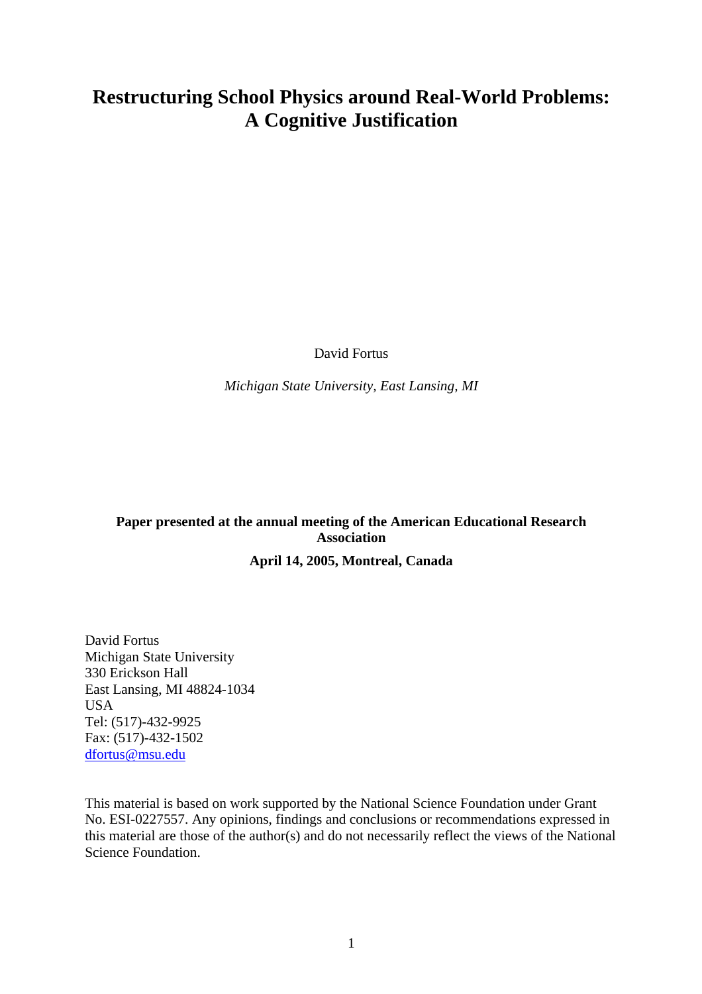# **Restructuring School Physics around Real-World Problems: A Cognitive Justification**

David Fortus

*Michigan State University, East Lansing, MI* 

## **Paper presented at the annual meeting of the American Educational Research Association**

### **April 14, 2005, Montreal, Canada**

David Fortus Michigan State University 330 Erickson Hall East Lansing, MI 48824-1034 **USA** Tel: (517)-432-9925 Fax: (517)-432-1502 [dfortus@msu.edu](mailto:dfortus@msu.edu)

This material is based on work supported by the National Science Foundation under Grant No. ESI-0227557. Any opinions, findings and conclusions or recommendations expressed in this material are those of the author(s) and do not necessarily reflect the views of the National Science Foundation.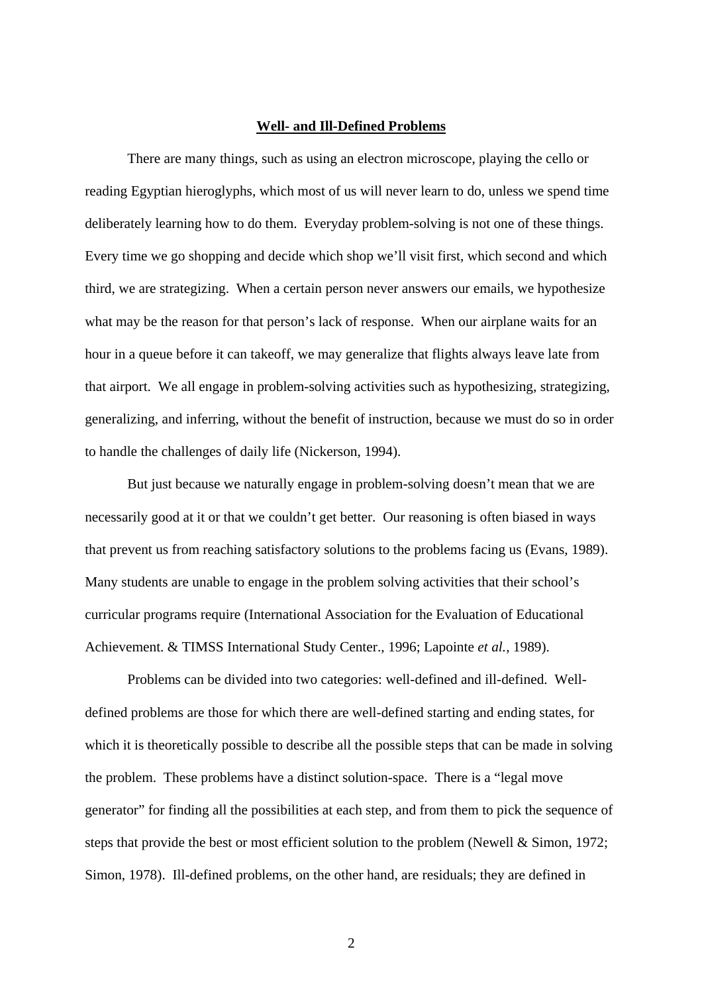#### **Well- and Ill-Defined Problems**

There are many things, such as using an electron microscope, playing the cello or reading Egyptian hieroglyphs, which most of us will never learn to do, unless we spend time deliberately learning how to do them. Everyday problem-solving is not one of these things. Every time we go shopping and decide which shop we'll visit first, which second and which third, we are strategizing. When a certain person never answers our emails, we hypothesize what may be the reason for that person's lack of response. When our airplane waits for an hour in a queue before it can takeoff, we may generalize that flights always leave late from that airport. We all engage in problem-solving activities such as hypothesizing, strategizing, generalizing, and inferring, without the benefit of instruction, because we must do so in order to handle the challenges of daily life (Nickerson, 1994).

But just because we naturally engage in problem-solving doesn't mean that we are necessarily good at it or that we couldn't get better. Our reasoning is often biased in ways that prevent us from reaching satisfactory solutions to the problems facing us (Evans, 1989). Many students are unable to engage in the problem solving activities that their school's curricular programs require (International Association for the Evaluation of Educational Achievement. & TIMSS International Study Center., 1996; Lapointe *et al.*, 1989).

Problems can be divided into two categories: well-defined and ill-defined. Welldefined problems are those for which there are well-defined starting and ending states, for which it is theoretically possible to describe all the possible steps that can be made in solving the problem. These problems have a distinct solution-space. There is a "legal move generator" for finding all the possibilities at each step, and from them to pick the sequence of steps that provide the best or most efficient solution to the problem (Newell & Simon, 1972; Simon, 1978). Ill-defined problems, on the other hand, are residuals; they are defined in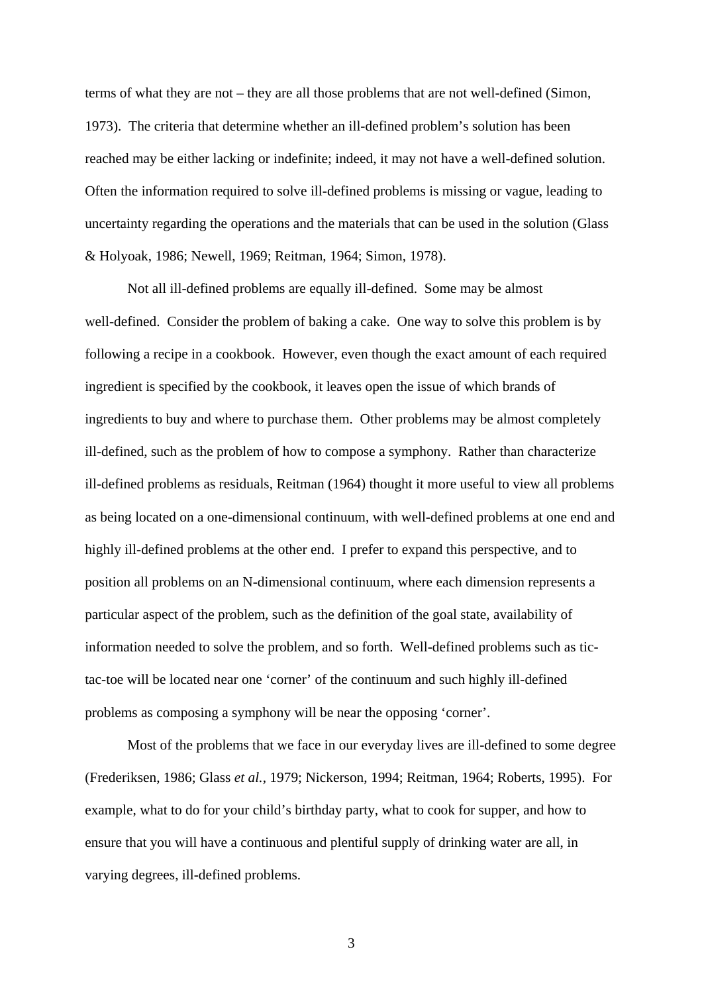terms of what they are not – they are all those problems that are not well-defined (Simon, 1973). The criteria that determine whether an ill-defined problem's solution has been reached may be either lacking or indefinite; indeed, it may not have a well-defined solution. Often the information required to solve ill-defined problems is missing or vague, leading to uncertainty regarding the operations and the materials that can be used in the solution (Glass & Holyoak, 1986; Newell, 1969; Reitman, 1964; Simon, 1978).

Not all ill-defined problems are equally ill-defined. Some may be almost well-defined. Consider the problem of baking a cake. One way to solve this problem is by following a recipe in a cookbook. However, even though the exact amount of each required ingredient is specified by the cookbook, it leaves open the issue of which brands of ingredients to buy and where to purchase them. Other problems may be almost completely ill-defined, such as the problem of how to compose a symphony. Rather than characterize ill-defined problems as residuals, Reitman (1964) thought it more useful to view all problems as being located on a one-dimensional continuum, with well-defined problems at one end and highly ill-defined problems at the other end. I prefer to expand this perspective, and to position all problems on an N-dimensional continuum, where each dimension represents a particular aspect of the problem, such as the definition of the goal state, availability of information needed to solve the problem, and so forth. Well-defined problems such as tictac-toe will be located near one 'corner' of the continuum and such highly ill-defined problems as composing a symphony will be near the opposing 'corner'.

Most of the problems that we face in our everyday lives are ill-defined to some degree (Frederiksen, 1986; Glass *et al.*, 1979; Nickerson, 1994; Reitman, 1964; Roberts, 1995). For example, what to do for your child's birthday party, what to cook for supper, and how to ensure that you will have a continuous and plentiful supply of drinking water are all, in varying degrees, ill-defined problems.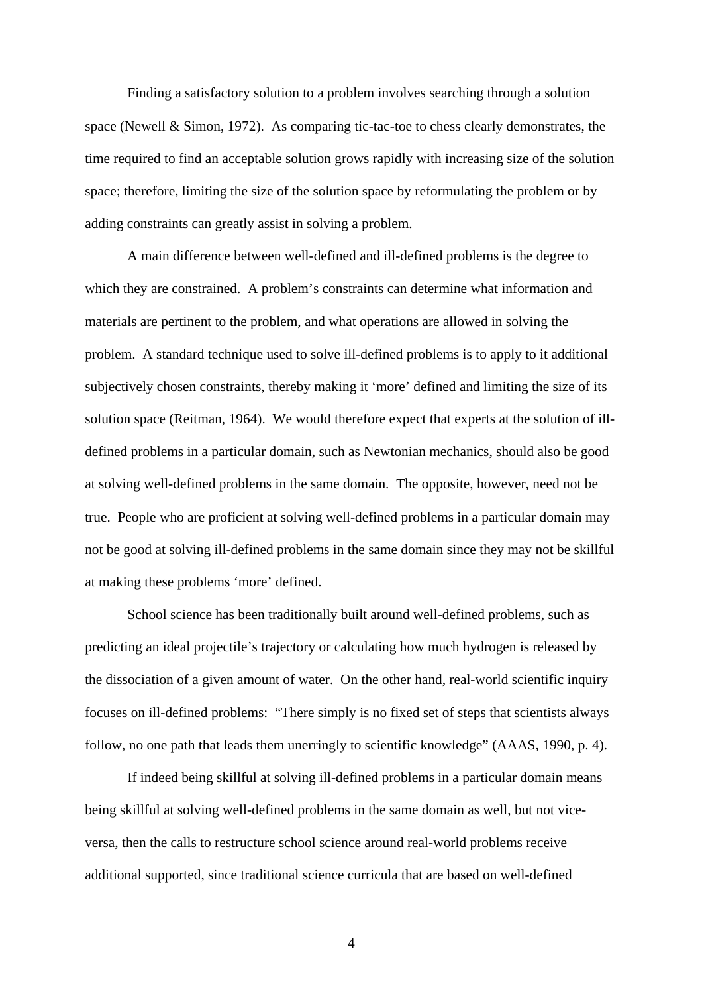Finding a satisfactory solution to a problem involves searching through a solution space (Newell & Simon, 1972). As comparing tic-tac-toe to chess clearly demonstrates, the time required to find an acceptable solution grows rapidly with increasing size of the solution space; therefore, limiting the size of the solution space by reformulating the problem or by adding constraints can greatly assist in solving a problem.

A main difference between well-defined and ill-defined problems is the degree to which they are constrained. A problem's constraints can determine what information and materials are pertinent to the problem, and what operations are allowed in solving the problem. A standard technique used to solve ill-defined problems is to apply to it additional subjectively chosen constraints, thereby making it 'more' defined and limiting the size of its solution space (Reitman, 1964). We would therefore expect that experts at the solution of illdefined problems in a particular domain, such as Newtonian mechanics, should also be good at solving well-defined problems in the same domain. The opposite, however, need not be true. People who are proficient at solving well-defined problems in a particular domain may not be good at solving ill-defined problems in the same domain since they may not be skillful at making these problems 'more' defined.

School science has been traditionally built around well-defined problems, such as predicting an ideal projectile's trajectory or calculating how much hydrogen is released by the dissociation of a given amount of water. On the other hand, real-world scientific inquiry focuses on ill-defined problems: "There simply is no fixed set of steps that scientists always follow, no one path that leads them unerringly to scientific knowledge" (AAAS, 1990, p. 4).

If indeed being skillful at solving ill-defined problems in a particular domain means being skillful at solving well-defined problems in the same domain as well, but not viceversa, then the calls to restructure school science around real-world problems receive additional supported, since traditional science curricula that are based on well-defined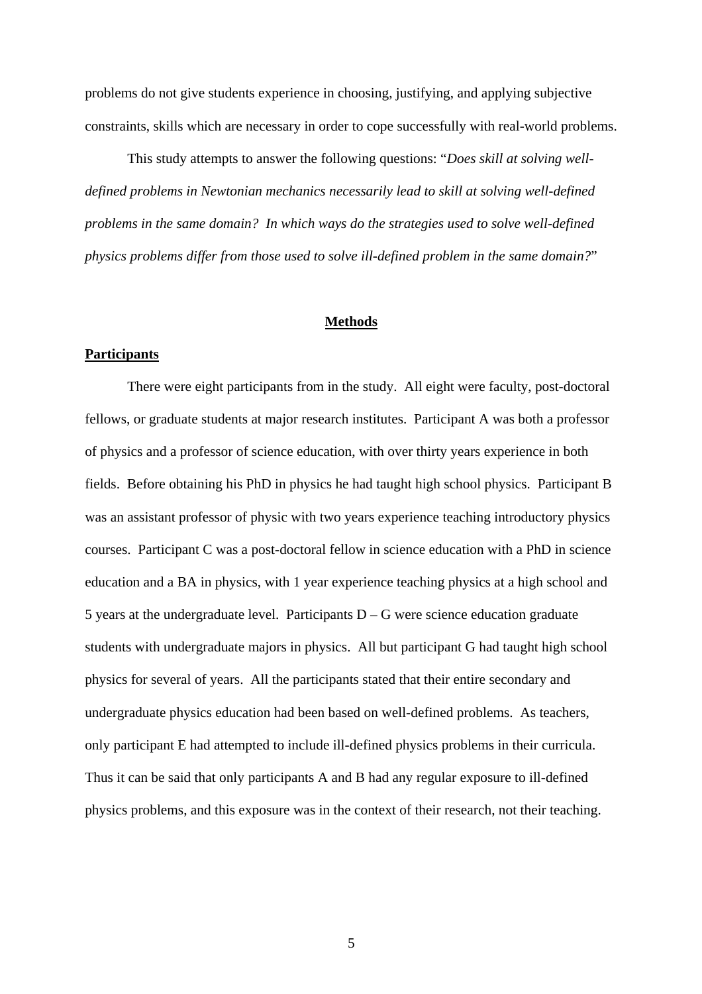problems do not give students experience in choosing, justifying, and applying subjective constraints, skills which are necessary in order to cope successfully with real-world problems.

This study attempts to answer the following questions: "*Does skill at solving welldefined problems in Newtonian mechanics necessarily lead to skill at solving well-defined problems in the same domain? In which ways do the strategies used to solve well-defined physics problems differ from those used to solve ill-defined problem in the same domain?*"

#### **Methods**

### **Participants**

There were eight participants from in the study. All eight were faculty, post-doctoral fellows, or graduate students at major research institutes. Participant A was both a professor of physics and a professor of science education, with over thirty years experience in both fields. Before obtaining his PhD in physics he had taught high school physics. Participant B was an assistant professor of physic with two years experience teaching introductory physics courses. Participant C was a post-doctoral fellow in science education with a PhD in science education and a BA in physics, with 1 year experience teaching physics at a high school and 5 years at the undergraduate level. Participants  $D - G$  were science education graduate students with undergraduate majors in physics. All but participant G had taught high school physics for several of years. All the participants stated that their entire secondary and undergraduate physics education had been based on well-defined problems. As teachers, only participant E had attempted to include ill-defined physics problems in their curricula. Thus it can be said that only participants A and B had any regular exposure to ill-defined physics problems, and this exposure was in the context of their research, not their teaching.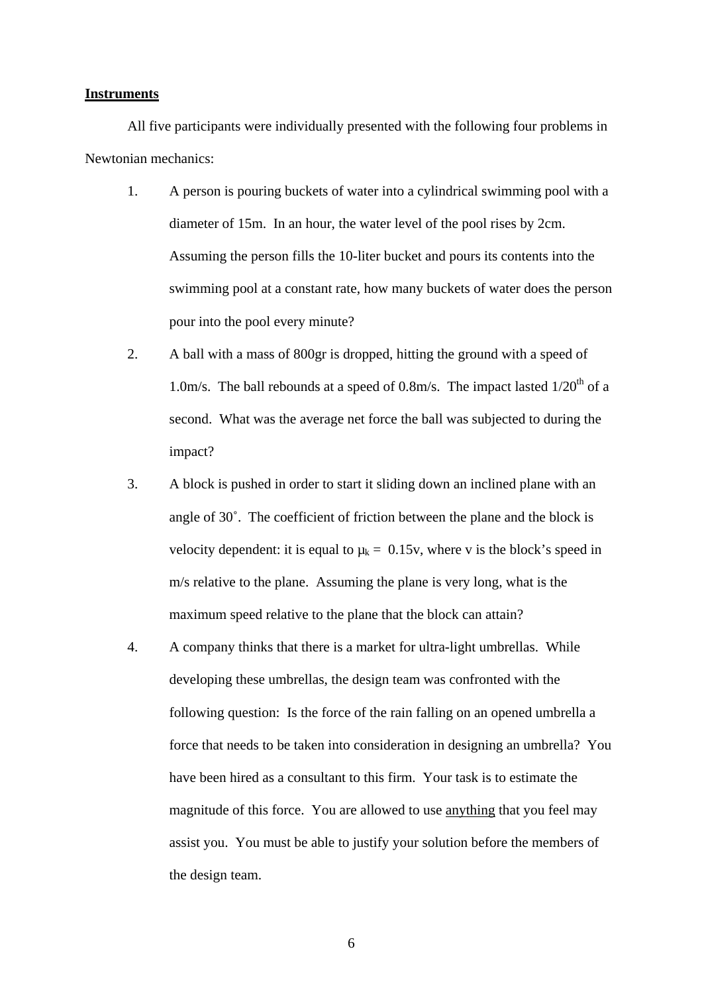### **Instruments**

All five participants were individually presented with the following four problems in Newtonian mechanics:

- 1. A person is pouring buckets of water into a cylindrical swimming pool with a diameter of 15m. In an hour, the water level of the pool rises by 2cm. Assuming the person fills the 10-liter bucket and pours its contents into the swimming pool at a constant rate, how many buckets of water does the person pour into the pool every minute?
- 2. A ball with a mass of 800gr is dropped, hitting the ground with a speed of 1.0m/s. The ball rebounds at a speed of 0.8m/s. The impact lasted  $1/20^{th}$  of a second. What was the average net force the ball was subjected to during the impact?
- 3. A block is pushed in order to start it sliding down an inclined plane with an angle of 30˚. The coefficient of friction between the plane and the block is velocity dependent: it is equal to  $\mu_k = 0.15v$ , where v is the block's speed in m/s relative to the plane. Assuming the plane is very long, what is the maximum speed relative to the plane that the block can attain?
- 4. A company thinks that there is a market for ultra-light umbrellas. While developing these umbrellas, the design team was confronted with the following question: Is the force of the rain falling on an opened umbrella a force that needs to be taken into consideration in designing an umbrella? You have been hired as a consultant to this firm. Your task is to estimate the magnitude of this force. You are allowed to use anything that you feel may assist you. You must be able to justify your solution before the members of the design team.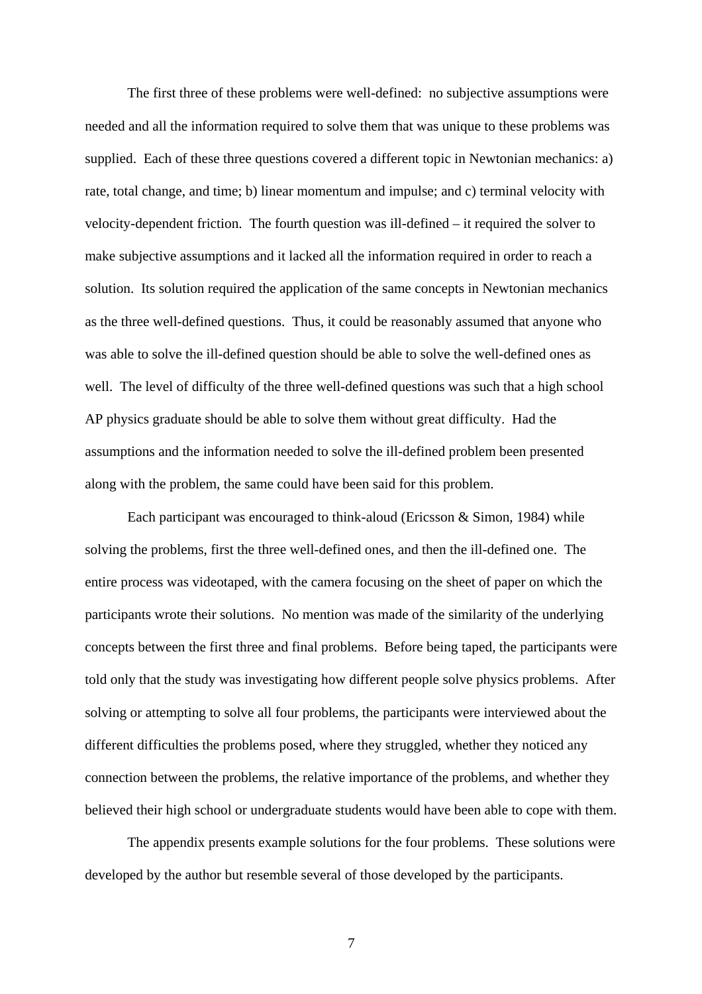The first three of these problems were well-defined: no subjective assumptions were needed and all the information required to solve them that was unique to these problems was supplied. Each of these three questions covered a different topic in Newtonian mechanics: a) rate, total change, and time; b) linear momentum and impulse; and c) terminal velocity with velocity-dependent friction. The fourth question was ill-defined – it required the solver to make subjective assumptions and it lacked all the information required in order to reach a solution. Its solution required the application of the same concepts in Newtonian mechanics as the three well-defined questions. Thus, it could be reasonably assumed that anyone who was able to solve the ill-defined question should be able to solve the well-defined ones as well. The level of difficulty of the three well-defined questions was such that a high school AP physics graduate should be able to solve them without great difficulty. Had the assumptions and the information needed to solve the ill-defined problem been presented along with the problem, the same could have been said for this problem.

Each participant was encouraged to think-aloud (Ericsson & Simon, 1984) while solving the problems, first the three well-defined ones, and then the ill-defined one. The entire process was videotaped, with the camera focusing on the sheet of paper on which the participants wrote their solutions. No mention was made of the similarity of the underlying concepts between the first three and final problems. Before being taped, the participants were told only that the study was investigating how different people solve physics problems. After solving or attempting to solve all four problems, the participants were interviewed about the different difficulties the problems posed, where they struggled, whether they noticed any connection between the problems, the relative importance of the problems, and whether they believed their high school or undergraduate students would have been able to cope with them.

The appendix presents example solutions for the four problems. These solutions were developed by the author but resemble several of those developed by the participants.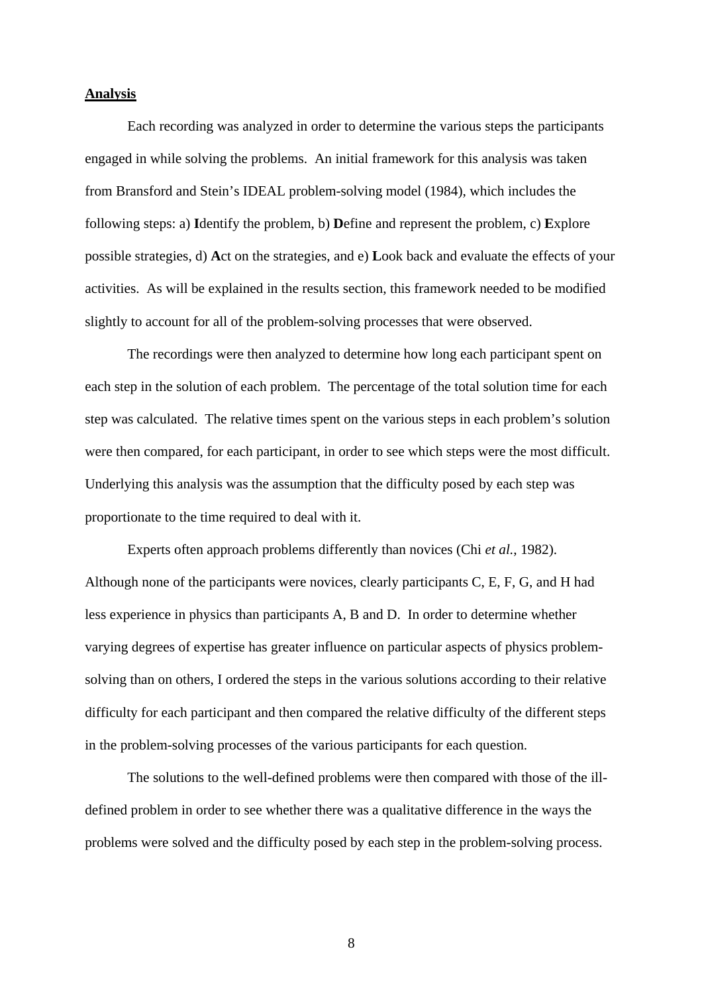### **Analysis**

Each recording was analyzed in order to determine the various steps the participants engaged in while solving the problems. An initial framework for this analysis was taken from Bransford and Stein's IDEAL problem-solving model (1984), which includes the following steps: a) **I**dentify the problem, b) **D**efine and represent the problem, c) **E**xplore possible strategies, d) **A**ct on the strategies, and e) **L**ook back and evaluate the effects of your activities. As will be explained in the results section, this framework needed to be modified slightly to account for all of the problem-solving processes that were observed.

The recordings were then analyzed to determine how long each participant spent on each step in the solution of each problem. The percentage of the total solution time for each step was calculated. The relative times spent on the various steps in each problem's solution were then compared, for each participant, in order to see which steps were the most difficult. Underlying this analysis was the assumption that the difficulty posed by each step was proportionate to the time required to deal with it.

Experts often approach problems differently than novices (Chi *et al.*, 1982). Although none of the participants were novices, clearly participants C, E, F, G, and H had less experience in physics than participants A, B and D. In order to determine whether varying degrees of expertise has greater influence on particular aspects of physics problemsolving than on others, I ordered the steps in the various solutions according to their relative difficulty for each participant and then compared the relative difficulty of the different steps in the problem-solving processes of the various participants for each question.

The solutions to the well-defined problems were then compared with those of the illdefined problem in order to see whether there was a qualitative difference in the ways the problems were solved and the difficulty posed by each step in the problem-solving process.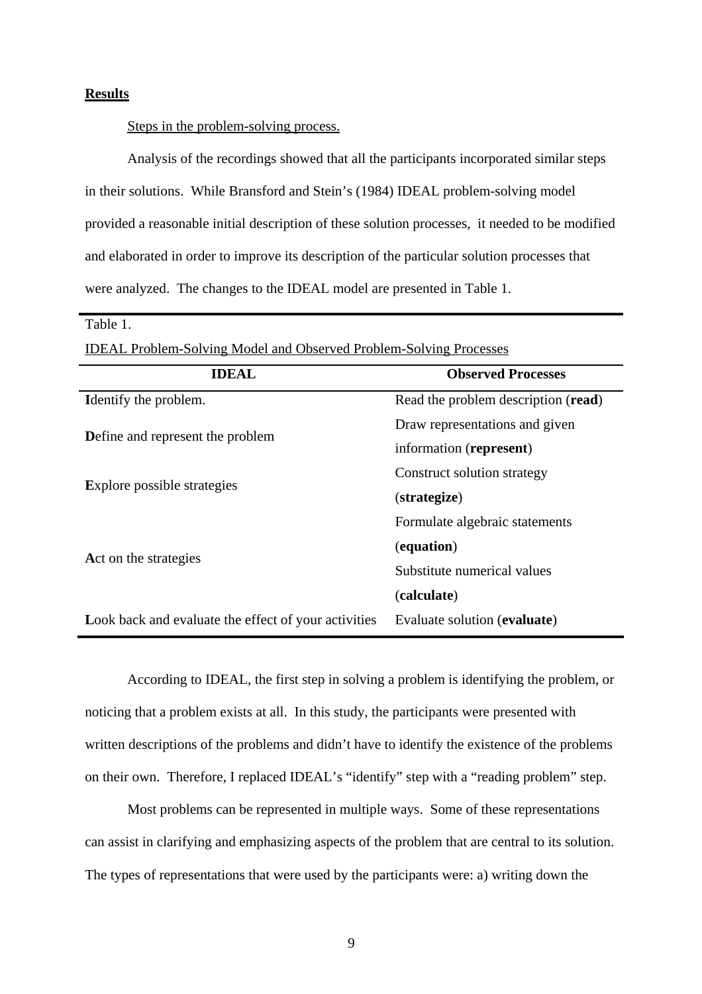### **Results**

Table 1.

### Steps in the problem-solving process.

Analysis of the recordings showed that all the participants incorporated similar steps in their solutions. While Bransford and Stein's (1984) IDEAL problem-solving model provided a reasonable initial description of these solution processes, it needed to be modified and elaborated in order to improve its description of the particular solution processes that were analyzed. The changes to the IDEAL model are presented in Table 1.

| <b>IDEAL Problem-Solving Model and Observed Problem-Solving Processes</b> |                                     |  |  |  |  |  |
|---------------------------------------------------------------------------|-------------------------------------|--|--|--|--|--|
| <b>IDEAL</b>                                                              | <b>Observed Processes</b>           |  |  |  |  |  |
| <b>Identify the problem.</b>                                              | Read the problem description (read) |  |  |  |  |  |
| <b>D</b> efine and represent the problem                                  | Draw representations and given      |  |  |  |  |  |
|                                                                           | information (represent)             |  |  |  |  |  |
|                                                                           | Construct solution strategy         |  |  |  |  |  |
| <b>Explore possible strategies</b>                                        | (strategize)                        |  |  |  |  |  |
|                                                                           | Formulate algebraic statements      |  |  |  |  |  |
| Act on the strategies                                                     | (equation)                          |  |  |  |  |  |
|                                                                           | Substitute numerical values         |  |  |  |  |  |
|                                                                           | (calculate)                         |  |  |  |  |  |
| Look back and evaluate the effect of your activities                      | Evaluate solution (evaluate)        |  |  |  |  |  |

According to IDEAL, the first step in solving a problem is identifying the problem, or noticing that a problem exists at all. In this study, the participants were presented with written descriptions of the problems and didn't have to identify the existence of the problems on their own. Therefore, I replaced IDEAL's "identify" step with a "reading problem" step.

Most problems can be represented in multiple ways. Some of these representations can assist in clarifying and emphasizing aspects of the problem that are central to its solution. The types of representations that were used by the participants were: a) writing down the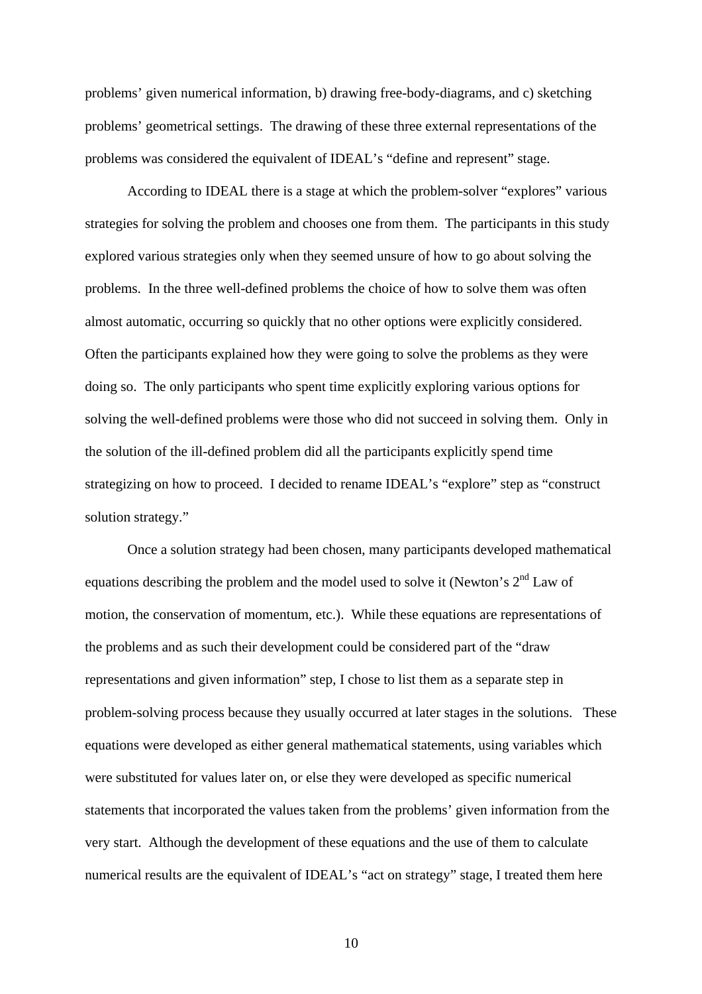problems' given numerical information, b) drawing free-body-diagrams, and c) sketching problems' geometrical settings. The drawing of these three external representations of the problems was considered the equivalent of IDEAL's "define and represent" stage.

According to IDEAL there is a stage at which the problem-solver "explores" various strategies for solving the problem and chooses one from them. The participants in this study explored various strategies only when they seemed unsure of how to go about solving the problems. In the three well-defined problems the choice of how to solve them was often almost automatic, occurring so quickly that no other options were explicitly considered. Often the participants explained how they were going to solve the problems as they were doing so. The only participants who spent time explicitly exploring various options for solving the well-defined problems were those who did not succeed in solving them. Only in the solution of the ill-defined problem did all the participants explicitly spend time strategizing on how to proceed. I decided to rename IDEAL's "explore" step as "construct solution strategy."

Once a solution strategy had been chosen, many participants developed mathematical equations describing the problem and the model used to solve it (Newton's  $2<sup>nd</sup>$  Law of motion, the conservation of momentum, etc.). While these equations are representations of the problems and as such their development could be considered part of the "draw representations and given information" step, I chose to list them as a separate step in problem-solving process because they usually occurred at later stages in the solutions. These equations were developed as either general mathematical statements, using variables which were substituted for values later on, or else they were developed as specific numerical statements that incorporated the values taken from the problems' given information from the very start. Although the development of these equations and the use of them to calculate numerical results are the equivalent of IDEAL's "act on strategy" stage, I treated them here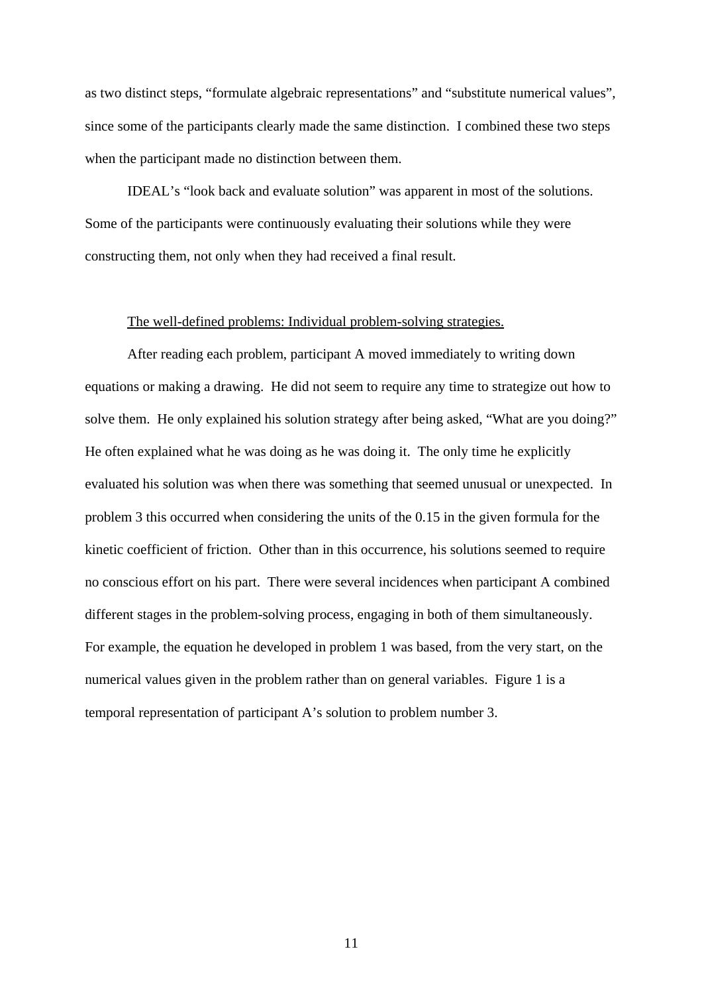as two distinct steps, "formulate algebraic representations" and "substitute numerical values", since some of the participants clearly made the same distinction. I combined these two steps when the participant made no distinction between them.

IDEAL's "look back and evaluate solution" was apparent in most of the solutions. Some of the participants were continuously evaluating their solutions while they were constructing them, not only when they had received a final result.

### The well-defined problems: Individual problem-solving strategies.

After reading each problem, participant A moved immediately to writing down equations or making a drawing. He did not seem to require any time to strategize out how to solve them. He only explained his solution strategy after being asked, "What are you doing?" He often explained what he was doing as he was doing it. The only time he explicitly evaluated his solution was when there was something that seemed unusual or unexpected. In problem 3 this occurred when considering the units of the 0.15 in the given formula for the kinetic coefficient of friction. Other than in this occurrence, his solutions seemed to require no conscious effort on his part. There were several incidences when participant A combined different stages in the problem-solving process, engaging in both of them simultaneously. For example, the equation he developed in problem 1 was based, from the very start, on the numerical values given in the problem rather than on general variables. Figure 1 is a temporal representation of participant A's solution to problem number 3.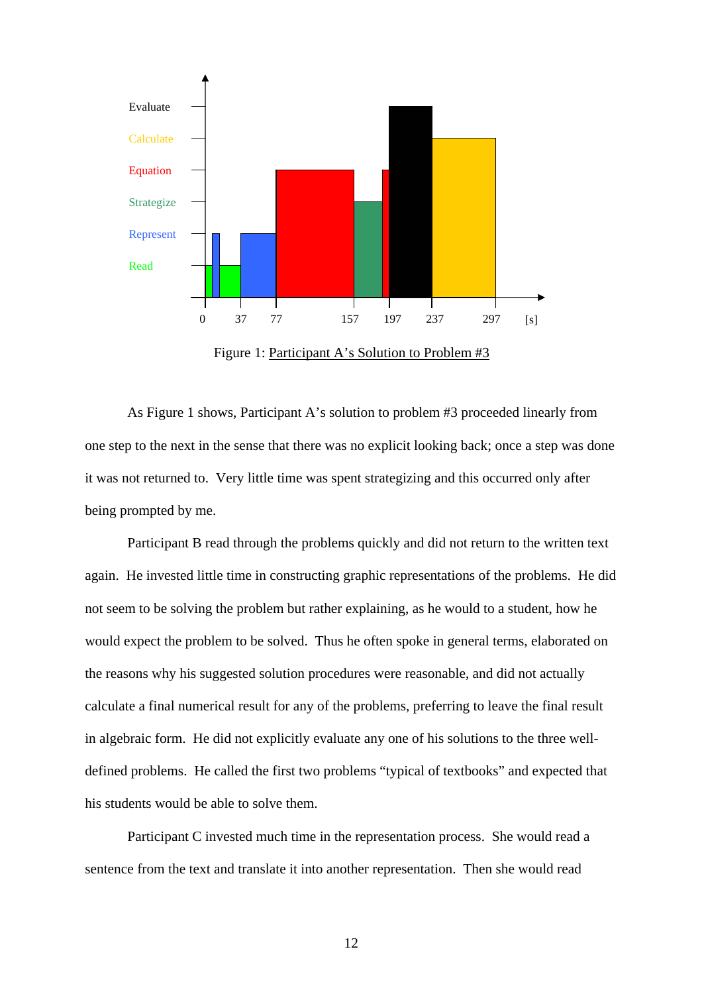

Figure 1: Participant A's Solution to Problem #3

As Figure 1 shows, Participant A's solution to problem #3 proceeded linearly from one step to the next in the sense that there was no explicit looking back; once a step was done it was not returned to. Very little time was spent strategizing and this occurred only after being prompted by me.

Participant B read through the problems quickly and did not return to the written text again. He invested little time in constructing graphic representations of the problems. He did not seem to be solving the problem but rather explaining, as he would to a student, how he would expect the problem to be solved. Thus he often spoke in general terms, elaborated on the reasons why his suggested solution procedures were reasonable, and did not actually calculate a final numerical result for any of the problems, preferring to leave the final result in algebraic form. He did not explicitly evaluate any one of his solutions to the three welldefined problems. He called the first two problems "typical of textbooks" and expected that his students would be able to solve them.

Participant C invested much time in the representation process. She would read a sentence from the text and translate it into another representation. Then she would read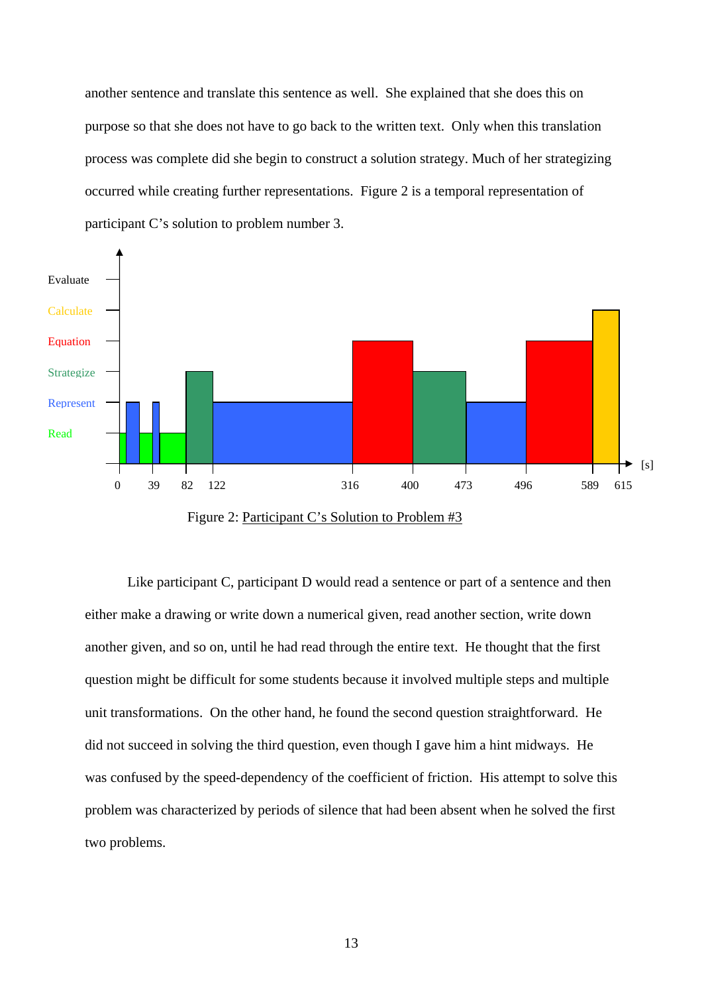another sentence and translate this sentence as well. She explained that she does this on purpose so that she does not have to go back to the written text. Only when this translation process was complete did she begin to construct a solution strategy. Much of her strategizing occurred while creating further representations. Figure 2 is a temporal representation of participant C's solution to problem number 3.



Figure 2: Participant C's Solution to Problem #3

Like participant C, participant D would read a sentence or part of a sentence and then either make a drawing or write down a numerical given, read another section, write down another given, and so on, until he had read through the entire text. He thought that the first question might be difficult for some students because it involved multiple steps and multiple unit transformations. On the other hand, he found the second question straightforward. He did not succeed in solving the third question, even though I gave him a hint midways. He was confused by the speed-dependency of the coefficient of friction. His attempt to solve this problem was characterized by periods of silence that had been absent when he solved the first two problems.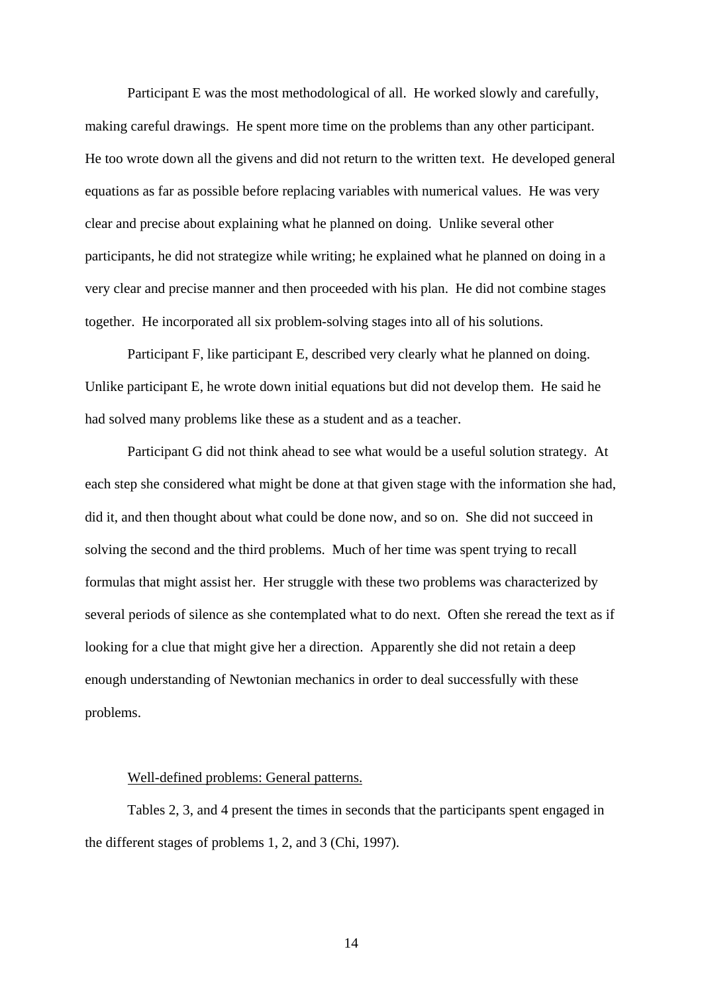Participant E was the most methodological of all. He worked slowly and carefully, making careful drawings. He spent more time on the problems than any other participant. He too wrote down all the givens and did not return to the written text. He developed general equations as far as possible before replacing variables with numerical values. He was very clear and precise about explaining what he planned on doing. Unlike several other participants, he did not strategize while writing; he explained what he planned on doing in a very clear and precise manner and then proceeded with his plan. He did not combine stages together. He incorporated all six problem-solving stages into all of his solutions.

Participant F, like participant E, described very clearly what he planned on doing. Unlike participant E, he wrote down initial equations but did not develop them. He said he had solved many problems like these as a student and as a teacher.

Participant G did not think ahead to see what would be a useful solution strategy. At each step she considered what might be done at that given stage with the information she had, did it, and then thought about what could be done now, and so on. She did not succeed in solving the second and the third problems. Much of her time was spent trying to recall formulas that might assist her. Her struggle with these two problems was characterized by several periods of silence as she contemplated what to do next. Often she reread the text as if looking for a clue that might give her a direction. Apparently she did not retain a deep enough understanding of Newtonian mechanics in order to deal successfully with these problems.

### Well-defined problems: General patterns.

Tables 2, 3, and 4 present the times in seconds that the participants spent engaged in the different stages of problems 1, 2, and 3 (Chi, 1997).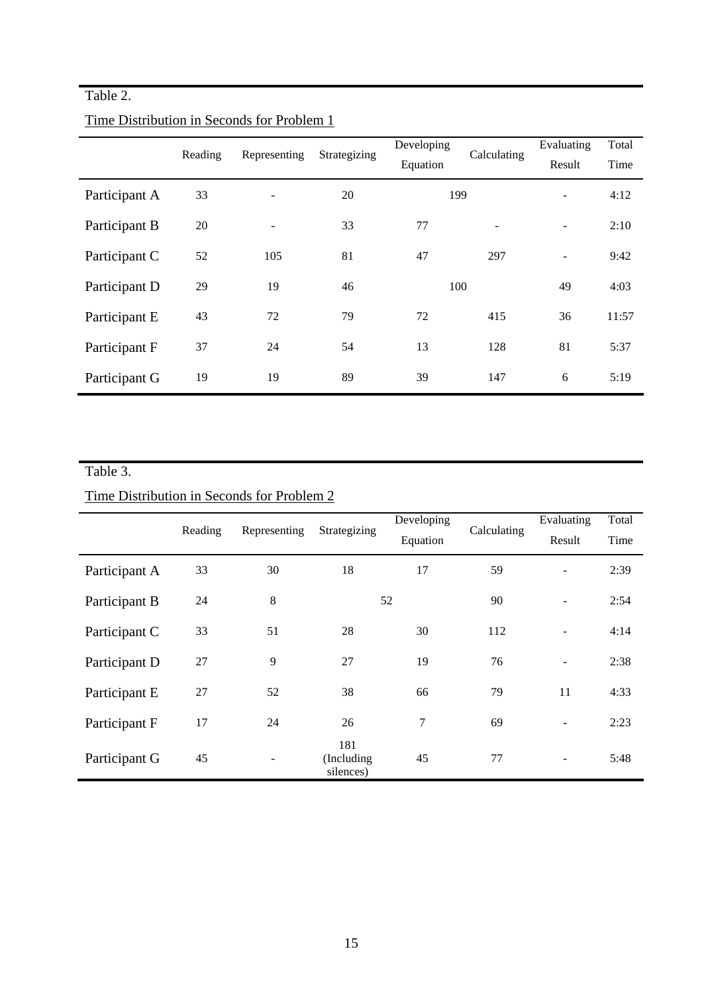## Table 2.

|               | Reading | Representing      | Strategizing | Developing<br>Equation | Calculating | Evaluating<br>Result     | Total<br>Time |
|---------------|---------|-------------------|--------------|------------------------|-------------|--------------------------|---------------|
| Participant A | 33      |                   | 20           | 199                    |             | $\overline{\phantom{a}}$ | 4:12          |
| Participant B | 20      | $\qquad \qquad -$ | 33           | 77                     |             | $\overline{\phantom{a}}$ | 2:10          |
| Participant C | 52      | 105               | 81           | 47                     | 297         | $\overline{\phantom{a}}$ | 9:42          |
| Participant D | 29      | 19                | 46           | 100                    |             | 49                       | 4:03          |
| Participant E | 43      | 72                | 79           | 72                     | 415         | 36                       | 11:57         |
| Participant F | 37      | 24                | 54           | 13                     | 128         | 81                       | 5:37          |
| Participant G | 19      | 19                | 89           | 39                     | 147         | 6                        | 5:19          |

## Time Distribution in Seconds for Problem 1

## Table 3.

## Time Distribution in Seconds for Problem 2

|               | Reading | Representing | Strategizing                   | Developing<br>Equation | Calculating | Evaluating<br>Result     | Total<br>Time |
|---------------|---------|--------------|--------------------------------|------------------------|-------------|--------------------------|---------------|
| Participant A | 33      | 30           | 18                             | 17                     | 59          | $\blacksquare$           | 2:39          |
| Participant B | 24      | $\,8\,$      |                                | 52                     | 90          | $\overline{\phantom{a}}$ | 2:54          |
| Participant C | 33      | 51           | 28                             | 30                     | 112         | $\blacksquare$           | 4:14          |
| Participant D | 27      | 9            | 27                             | 19                     | 76          | $\overline{\phantom{a}}$ | 2:38          |
| Participant E | 27      | 52           | 38                             | 66                     | 79          | 11                       | 4:33          |
| Participant F | 17      | 24           | 26                             | 7                      | 69          | $\blacksquare$           | 2:23          |
| Participant G | 45      |              | 181<br>(Including<br>silences) | 45                     | 77          | $\overline{\phantom{a}}$ | 5:48          |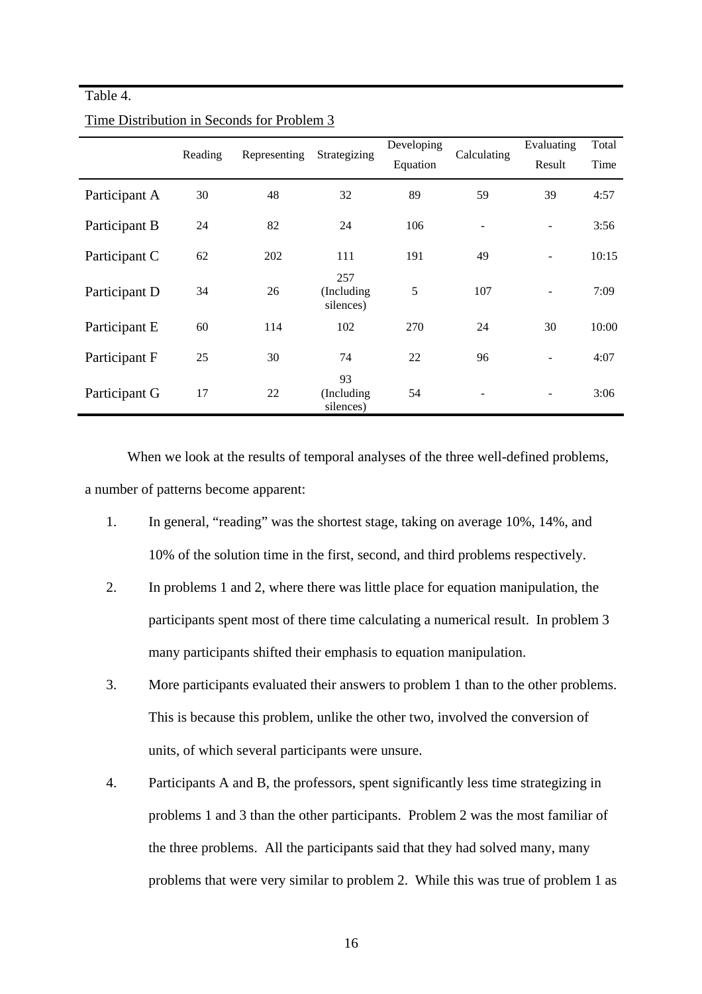### Table 4.

|               | Reading | Representing |                                | Developing |             | Evaluating               | Total |
|---------------|---------|--------------|--------------------------------|------------|-------------|--------------------------|-------|
|               |         |              | Strategizing                   | Equation   | Calculating | Result                   | Time  |
| Participant A | 30      | 48           | 32                             | 89         | 59          | 39                       | 4:57  |
| Participant B | 24      | 82           | 24                             | 106        |             | $\overline{\phantom{0}}$ | 3:56  |
| Participant C | 62      | 202          | 111                            | 191        | 49          | $\overline{a}$           | 10:15 |
| Participant D | 34      | 26           | 257<br>(Including<br>silences) | 5          | 107         | $\overline{\phantom{a}}$ | 7:09  |
| Participant E | 60      | 114          | 102                            | 270        | 24          | 30                       | 10:00 |
| Participant F | 25      | 30           | 74                             | 22         | 96          | L,                       | 4:07  |
| Participant G | 17      | 22           | 93<br>(Including)<br>silences) | 54         |             | $\qquad \qquad -$        | 3:06  |

### Time Distribution in Seconds for Problem 3

When we look at the results of temporal analyses of the three well-defined problems, a number of patterns become apparent:

- 1. In general, "reading" was the shortest stage, taking on average 10%, 14%, and 10% of the solution time in the first, second, and third problems respectively.
- 2. In problems 1 and 2, where there was little place for equation manipulation, the participants spent most of there time calculating a numerical result. In problem 3 many participants shifted their emphasis to equation manipulation.
- 3. More participants evaluated their answers to problem 1 than to the other problems. This is because this problem, unlike the other two, involved the conversion of units, of which several participants were unsure.
- 4. Participants A and B, the professors, spent significantly less time strategizing in problems 1 and 3 than the other participants. Problem 2 was the most familiar of the three problems. All the participants said that they had solved many, many problems that were very similar to problem 2. While this was true of problem 1 as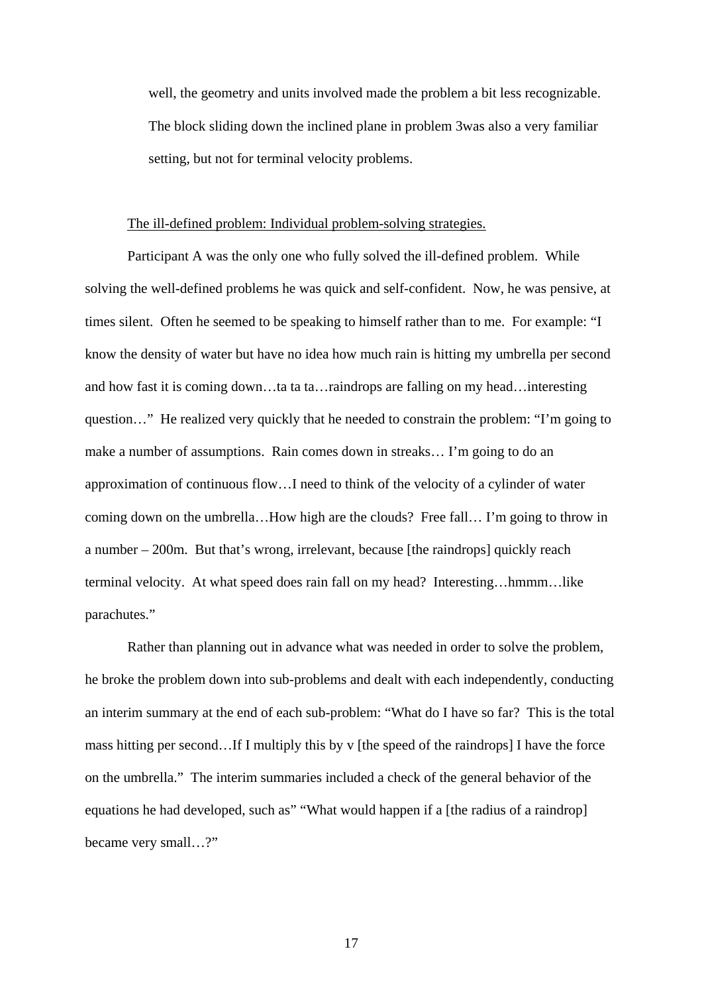well, the geometry and units involved made the problem a bit less recognizable. The block sliding down the inclined plane in problem 3was also a very familiar setting, but not for terminal velocity problems.

### The ill-defined problem: Individual problem-solving strategies.

Participant A was the only one who fully solved the ill-defined problem. While solving the well-defined problems he was quick and self-confident. Now, he was pensive, at times silent. Often he seemed to be speaking to himself rather than to me. For example: "I know the density of water but have no idea how much rain is hitting my umbrella per second and how fast it is coming down…ta ta ta…raindrops are falling on my head…interesting question…" He realized very quickly that he needed to constrain the problem: "I'm going to make a number of assumptions. Rain comes down in streaks… I'm going to do an approximation of continuous flow…I need to think of the velocity of a cylinder of water coming down on the umbrella…How high are the clouds? Free fall… I'm going to throw in a number – 200m. But that's wrong, irrelevant, because [the raindrops] quickly reach terminal velocity. At what speed does rain fall on my head? Interesting…hmmm…like parachutes."

Rather than planning out in advance what was needed in order to solve the problem, he broke the problem down into sub-problems and dealt with each independently, conducting an interim summary at the end of each sub-problem: "What do I have so far? This is the total mass hitting per second…If I multiply this by v [the speed of the raindrops] I have the force on the umbrella." The interim summaries included a check of the general behavior of the equations he had developed, such as" "What would happen if a [the radius of a raindrop] became very small…?"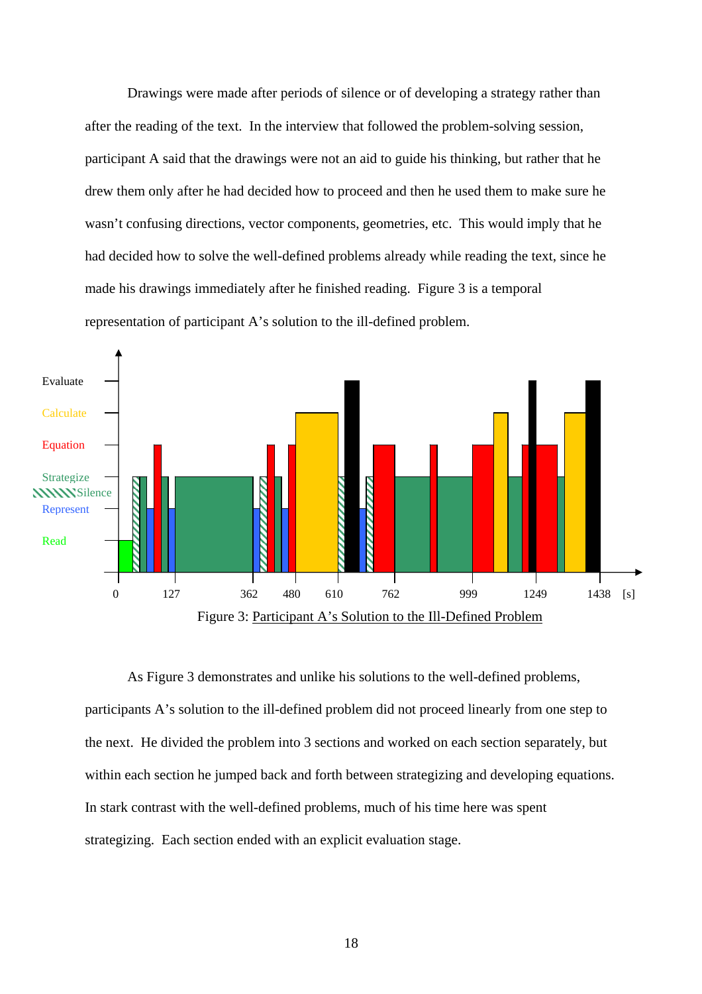Drawings were made after periods of silence or of developing a strategy rather than after the reading of the text. In the interview that followed the problem-solving session, participant A said that the drawings were not an aid to guide his thinking, but rather that he drew them only after he had decided how to proceed and then he used them to make sure he wasn't confusing directions, vector components, geometries, etc. This would imply that he had decided how to solve the well-defined problems already while reading the text, since he made his drawings immediately after he finished reading. Figure 3 is a temporal representation of participant A's solution to the ill-defined problem.



As Figure 3 demonstrates and unlike his solutions to the well-defined problems, participants A's solution to the ill-defined problem did not proceed linearly from one step to the next. He divided the problem into 3 sections and worked on each section separately, but within each section he jumped back and forth between strategizing and developing equations. In stark contrast with the well-defined problems, much of his time here was spent strategizing. Each section ended with an explicit evaluation stage.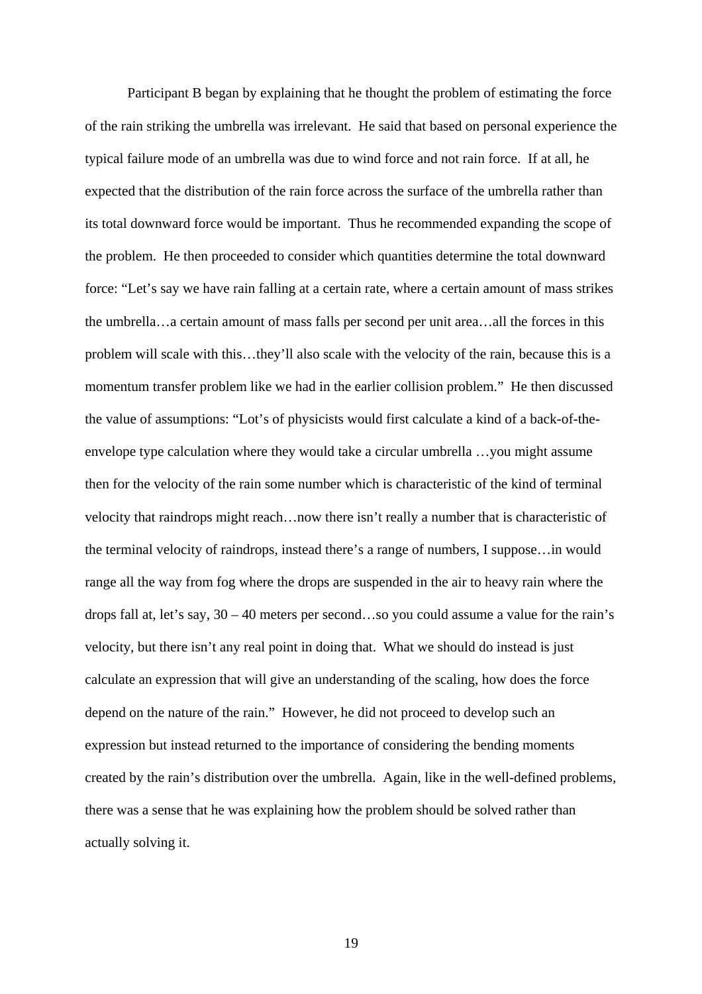Participant B began by explaining that he thought the problem of estimating the force of the rain striking the umbrella was irrelevant. He said that based on personal experience the typical failure mode of an umbrella was due to wind force and not rain force. If at all, he expected that the distribution of the rain force across the surface of the umbrella rather than its total downward force would be important. Thus he recommended expanding the scope of the problem. He then proceeded to consider which quantities determine the total downward force: "Let's say we have rain falling at a certain rate, where a certain amount of mass strikes the umbrella…a certain amount of mass falls per second per unit area…all the forces in this problem will scale with this…they'll also scale with the velocity of the rain, because this is a momentum transfer problem like we had in the earlier collision problem." He then discussed the value of assumptions: "Lot's of physicists would first calculate a kind of a back-of-theenvelope type calculation where they would take a circular umbrella …you might assume then for the velocity of the rain some number which is characteristic of the kind of terminal velocity that raindrops might reach…now there isn't really a number that is characteristic of the terminal velocity of raindrops, instead there's a range of numbers, I suppose…in would range all the way from fog where the drops are suspended in the air to heavy rain where the drops fall at, let's say, 30 – 40 meters per second…so you could assume a value for the rain's velocity, but there isn't any real point in doing that. What we should do instead is just calculate an expression that will give an understanding of the scaling, how does the force depend on the nature of the rain." However, he did not proceed to develop such an expression but instead returned to the importance of considering the bending moments created by the rain's distribution over the umbrella. Again, like in the well-defined problems, there was a sense that he was explaining how the problem should be solved rather than actually solving it.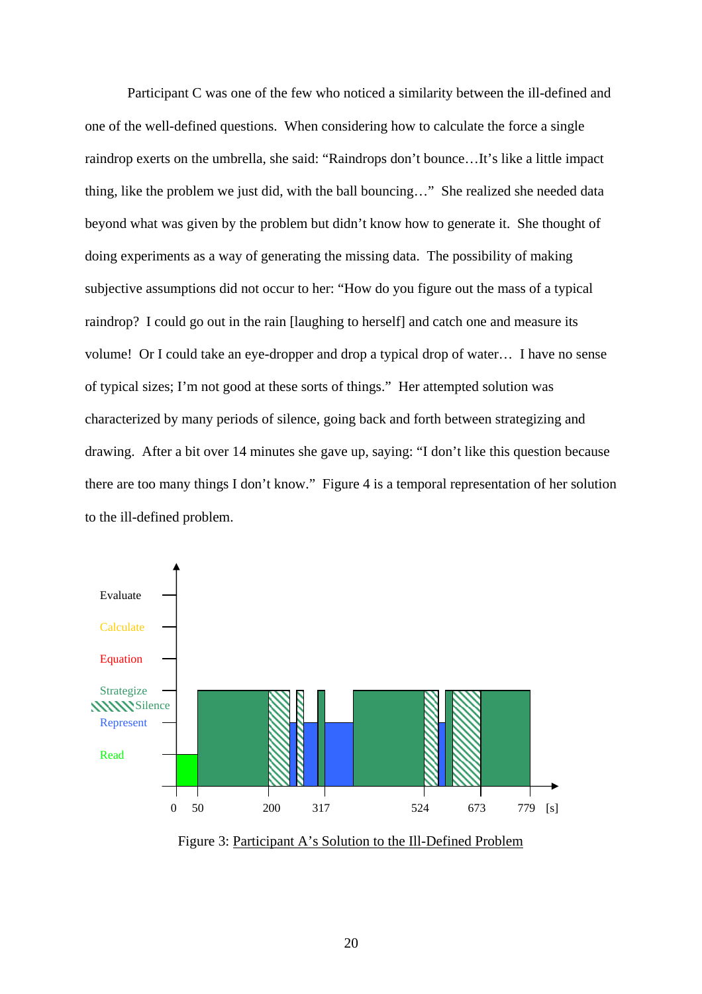Participant C was one of the few who noticed a similarity between the ill-defined and one of the well-defined questions. When considering how to calculate the force a single raindrop exerts on the umbrella, she said: "Raindrops don't bounce…It's like a little impact thing, like the problem we just did, with the ball bouncing…" She realized she needed data beyond what was given by the problem but didn't know how to generate it. She thought of doing experiments as a way of generating the missing data. The possibility of making subjective assumptions did not occur to her: "How do you figure out the mass of a typical raindrop? I could go out in the rain [laughing to herself] and catch one and measure its volume! Or I could take an eye-dropper and drop a typical drop of water… I have no sense of typical sizes; I'm not good at these sorts of things." Her attempted solution was characterized by many periods of silence, going back and forth between strategizing and drawing. After a bit over 14 minutes she gave up, saying: "I don't like this question because there are too many things I don't know." Figure 4 is a temporal representation of her solution to the ill-defined problem.



Figure 3: Participant A's Solution to the Ill-Defined Problem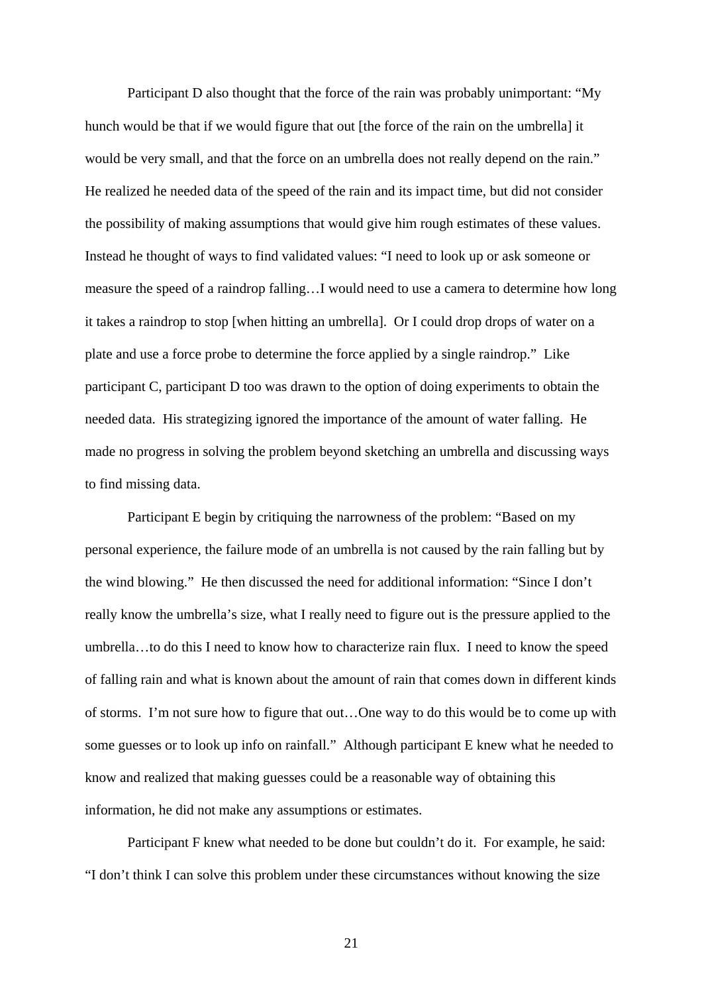Participant D also thought that the force of the rain was probably unimportant: "My hunch would be that if we would figure that out [the force of the rain on the umbrella] it would be very small, and that the force on an umbrella does not really depend on the rain." He realized he needed data of the speed of the rain and its impact time, but did not consider the possibility of making assumptions that would give him rough estimates of these values. Instead he thought of ways to find validated values: "I need to look up or ask someone or measure the speed of a raindrop falling…I would need to use a camera to determine how long it takes a raindrop to stop [when hitting an umbrella]. Or I could drop drops of water on a plate and use a force probe to determine the force applied by a single raindrop." Like participant C, participant D too was drawn to the option of doing experiments to obtain the needed data. His strategizing ignored the importance of the amount of water falling. He made no progress in solving the problem beyond sketching an umbrella and discussing ways to find missing data.

Participant E begin by critiquing the narrowness of the problem: "Based on my personal experience, the failure mode of an umbrella is not caused by the rain falling but by the wind blowing." He then discussed the need for additional information: "Since I don't really know the umbrella's size, what I really need to figure out is the pressure applied to the umbrella…to do this I need to know how to characterize rain flux. I need to know the speed of falling rain and what is known about the amount of rain that comes down in different kinds of storms. I'm not sure how to figure that out…One way to do this would be to come up with some guesses or to look up info on rainfall." Although participant E knew what he needed to know and realized that making guesses could be a reasonable way of obtaining this information, he did not make any assumptions or estimates.

Participant F knew what needed to be done but couldn't do it. For example, he said: "I don't think I can solve this problem under these circumstances without knowing the size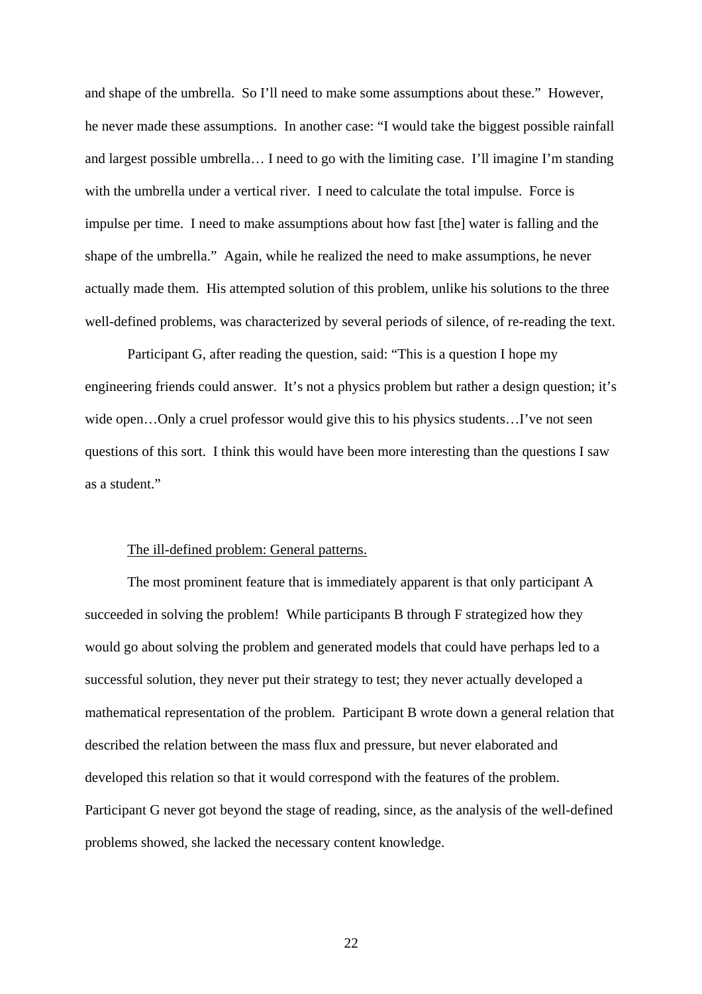and shape of the umbrella. So I'll need to make some assumptions about these." However, he never made these assumptions. In another case: "I would take the biggest possible rainfall and largest possible umbrella… I need to go with the limiting case. I'll imagine I'm standing with the umbrella under a vertical river. I need to calculate the total impulse. Force is impulse per time. I need to make assumptions about how fast [the] water is falling and the shape of the umbrella." Again, while he realized the need to make assumptions, he never actually made them. His attempted solution of this problem, unlike his solutions to the three well-defined problems, was characterized by several periods of silence, of re-reading the text.

Participant G, after reading the question, said: "This is a question I hope my engineering friends could answer. It's not a physics problem but rather a design question; it's wide open...Only a cruel professor would give this to his physics students...I've not seen questions of this sort. I think this would have been more interesting than the questions I saw as a student."

### The ill-defined problem: General patterns.

The most prominent feature that is immediately apparent is that only participant A succeeded in solving the problem! While participants B through F strategized how they would go about solving the problem and generated models that could have perhaps led to a successful solution, they never put their strategy to test; they never actually developed a mathematical representation of the problem. Participant B wrote down a general relation that described the relation between the mass flux and pressure, but never elaborated and developed this relation so that it would correspond with the features of the problem. Participant G never got beyond the stage of reading, since, as the analysis of the well-defined problems showed, she lacked the necessary content knowledge.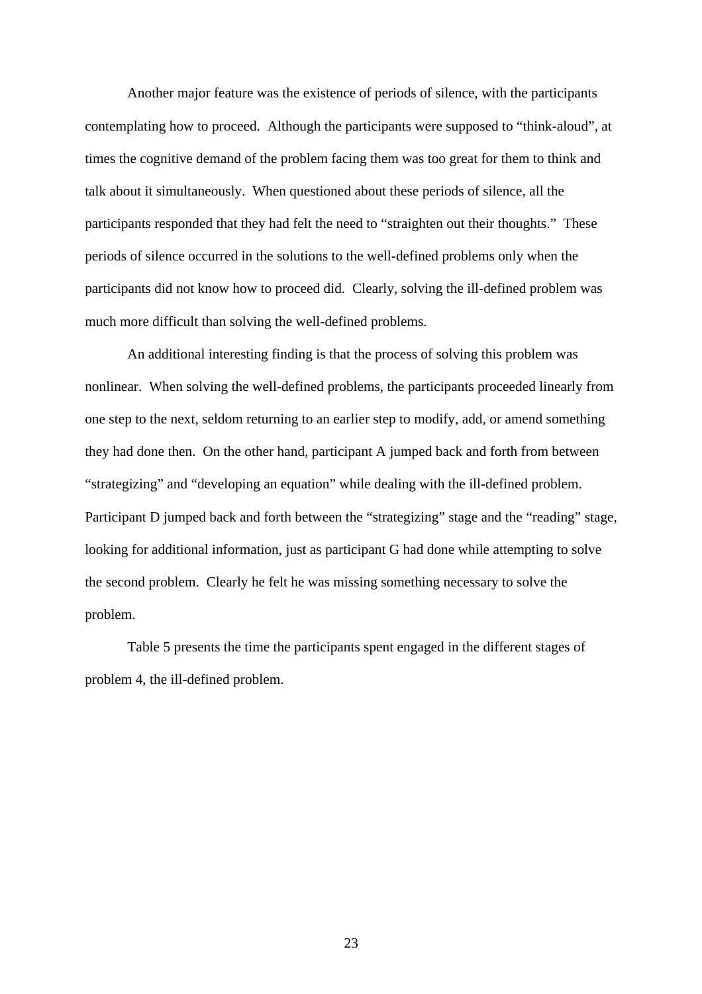Another major feature was the existence of periods of silence, with the participants contemplating how to proceed. Although the participants were supposed to "think-aloud", at times the cognitive demand of the problem facing them was too great for them to think and talk about it simultaneously. When questioned about these periods of silence, all the participants responded that they had felt the need to "straighten out their thoughts." These periods of silence occurred in the solutions to the well-defined problems only when the participants did not know how to proceed did. Clearly, solving the ill-defined problem was much more difficult than solving the well-defined problems.

An additional interesting finding is that the process of solving this problem was nonlinear. When solving the well-defined problems, the participants proceeded linearly from one step to the next, seldom returning to an earlier step to modify, add, or amend something they had done then. On the other hand, participant A jumped back and forth from between "strategizing" and "developing an equation" while dealing with the ill-defined problem. Participant D jumped back and forth between the "strategizing" stage and the "reading" stage, looking for additional information, just as participant G had done while attempting to solve the second problem. Clearly he felt he was missing something necessary to solve the problem.

Table 5 presents the time the participants spent engaged in the different stages of problem 4, the ill-defined problem.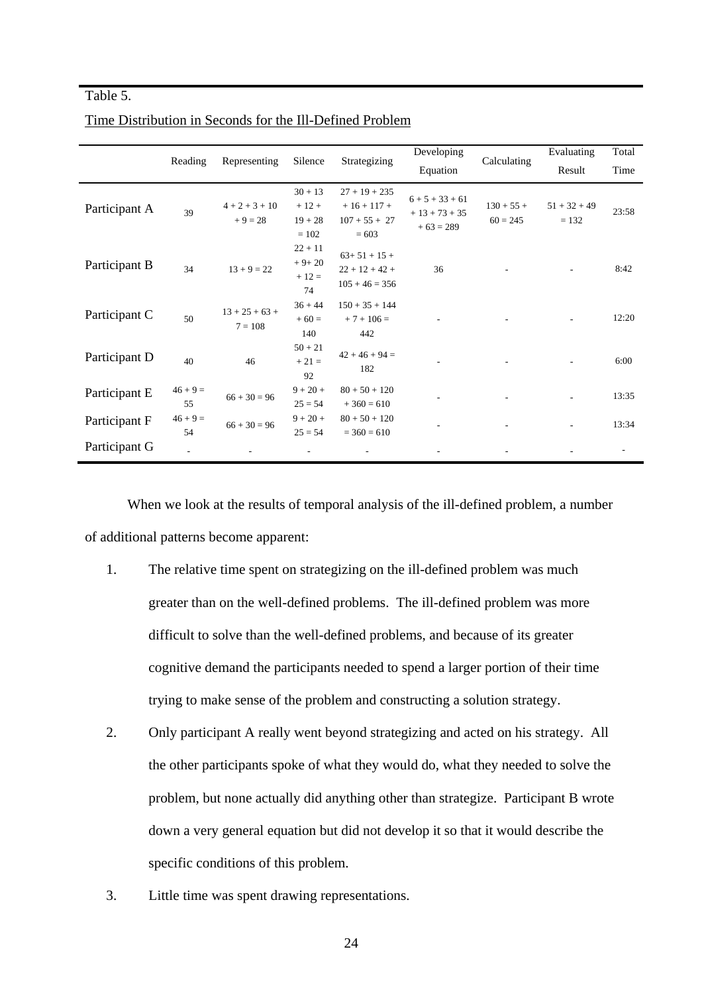### Table 5.

|               | Reading          | Representing                  | Silence                                     | Strategizing                                                | Developing                                    | Calculating                | Evaluating                | Total |
|---------------|------------------|-------------------------------|---------------------------------------------|-------------------------------------------------------------|-----------------------------------------------|----------------------------|---------------------------|-------|
|               |                  |                               |                                             |                                                             | Equation                                      |                            | Result                    | Time  |
| Participant A | 39               | $4 + 2 + 3 + 10$<br>$+9=28$   | $30 + 13$<br>$+12+$<br>$19 + 28$<br>$= 102$ | $27 + 19 + 235$<br>$+16+117+$<br>$107 + 55 + 27$<br>$= 603$ | $6 + 5 + 33 + 61$<br>$+13+73+35$<br>$+63=289$ | $130 + 55 +$<br>$60 = 245$ | $51 + 32 + 49$<br>$= 132$ | 23:58 |
| Participant B | 34               | $13 + 9 = 22$                 | $22 + 11$<br>$+9+20$<br>$+12=$<br>74        | $63+51+15+$<br>$22 + 12 + 42 +$<br>$105 + 46 = 356$         | 36                                            |                            |                           | 8:42  |
| Participant C | 50               | $13 + 25 + 63 +$<br>$7 = 108$ | $36 + 44$<br>$+60=$<br>140                  | $150 + 35 + 144$<br>$+7+106=$<br>442                        |                                               |                            |                           | 12:20 |
| Participant D | 40               | 46                            | $50 + 21$<br>$+21=$<br>92                   | $42 + 46 + 94 =$<br>182                                     |                                               |                            |                           | 6:00  |
| Participant E | $46 + 9 =$<br>55 | $66 + 30 = 96$                | $9 + 20 +$<br>$25 = 54$                     | $80 + 50 + 120$<br>$+360=610$                               |                                               |                            |                           | 13:35 |
| Participant F | $46 + 9 =$<br>54 | $66 + 30 = 96$                | $9 + 20 +$<br>$25 = 54$                     | $80 + 50 + 120$<br>$=$ 360 $=$ 610                          |                                               |                            |                           | 13:34 |
| Participant G |                  |                               |                                             |                                                             |                                               |                            |                           |       |

Time Distribution in Seconds for the Ill-Defined Problem

When we look at the results of temporal analysis of the ill-defined problem, a number of additional patterns become apparent:

- 1. The relative time spent on strategizing on the ill-defined problem was much greater than on the well-defined problems. The ill-defined problem was more difficult to solve than the well-defined problems, and because of its greater cognitive demand the participants needed to spend a larger portion of their time trying to make sense of the problem and constructing a solution strategy.
- 2. Only participant A really went beyond strategizing and acted on his strategy. All the other participants spoke of what they would do, what they needed to solve the problem, but none actually did anything other than strategize. Participant B wrote down a very general equation but did not develop it so that it would describe the specific conditions of this problem.
- 3. Little time was spent drawing representations.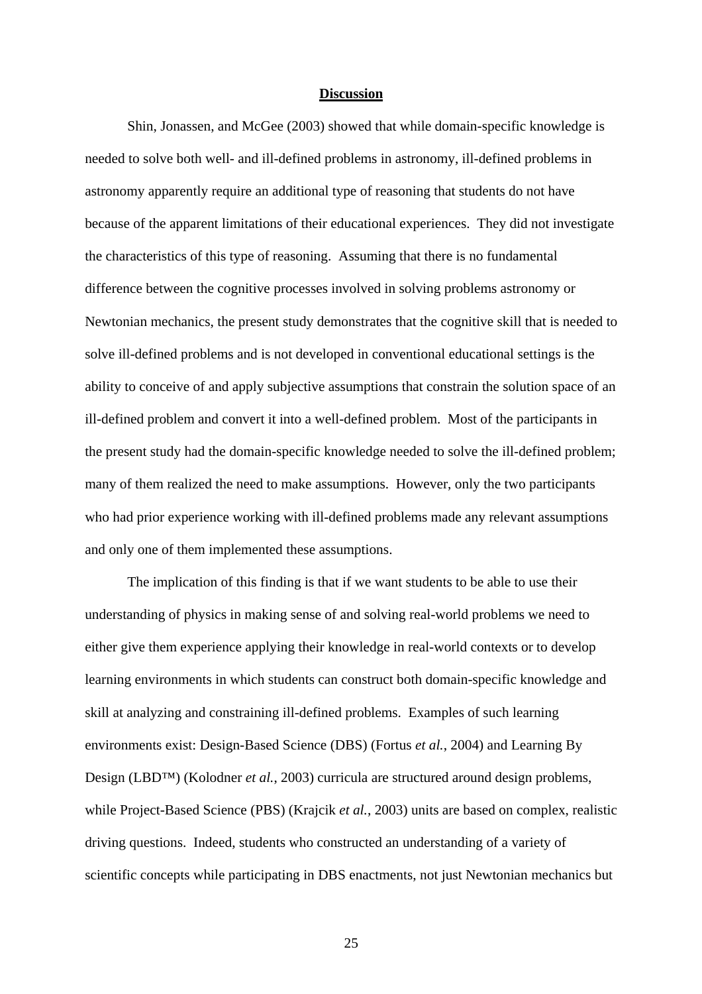### **Discussion**

Shin, Jonassen, and McGee (2003) showed that while domain-specific knowledge is needed to solve both well- and ill-defined problems in astronomy, ill-defined problems in astronomy apparently require an additional type of reasoning that students do not have because of the apparent limitations of their educational experiences. They did not investigate the characteristics of this type of reasoning. Assuming that there is no fundamental difference between the cognitive processes involved in solving problems astronomy or Newtonian mechanics, the present study demonstrates that the cognitive skill that is needed to solve ill-defined problems and is not developed in conventional educational settings is the ability to conceive of and apply subjective assumptions that constrain the solution space of an ill-defined problem and convert it into a well-defined problem. Most of the participants in the present study had the domain-specific knowledge needed to solve the ill-defined problem; many of them realized the need to make assumptions. However, only the two participants who had prior experience working with ill-defined problems made any relevant assumptions and only one of them implemented these assumptions.

The implication of this finding is that if we want students to be able to use their understanding of physics in making sense of and solving real-world problems we need to either give them experience applying their knowledge in real-world contexts or to develop learning environments in which students can construct both domain-specific knowledge and skill at analyzing and constraining ill-defined problems. Examples of such learning environments exist: Design-Based Science (DBS) (Fortus *et al.*, 2004) and Learning By Design (LBD™) (Kolodner *et al.*, 2003) curricula are structured around design problems, while Project-Based Science (PBS) (Krajcik *et al.*, 2003) units are based on complex, realistic driving questions. Indeed, students who constructed an understanding of a variety of scientific concepts while participating in DBS enactments, not just Newtonian mechanics but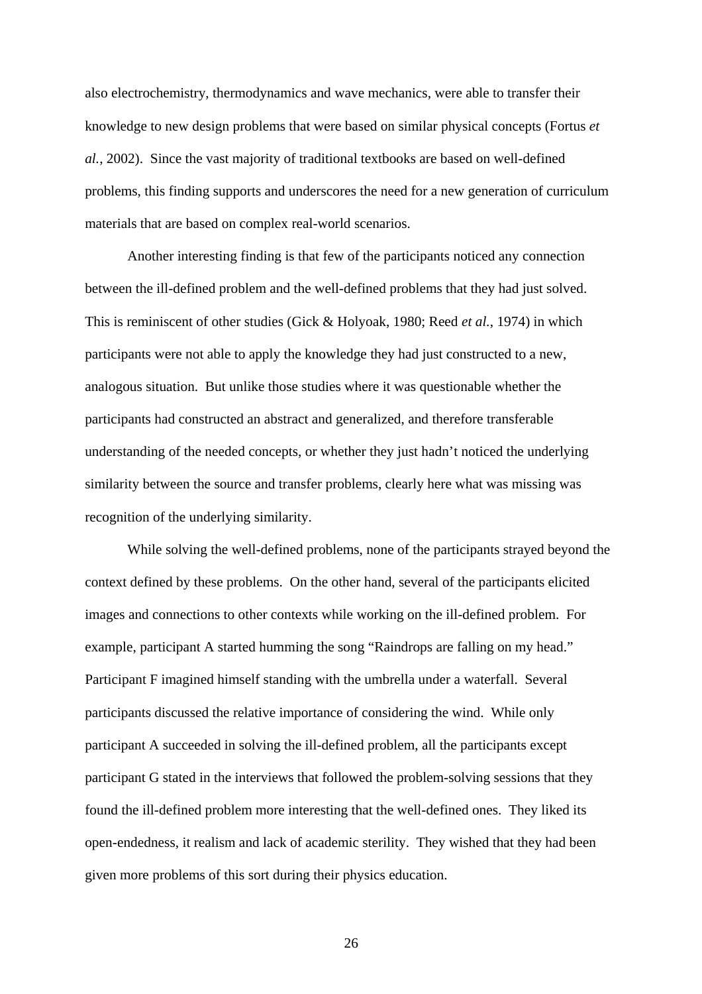also electrochemistry, thermodynamics and wave mechanics, were able to transfer their knowledge to new design problems that were based on similar physical concepts (Fortus *et al.*, 2002). Since the vast majority of traditional textbooks are based on well-defined problems, this finding supports and underscores the need for a new generation of curriculum materials that are based on complex real-world scenarios.

Another interesting finding is that few of the participants noticed any connection between the ill-defined problem and the well-defined problems that they had just solved. This is reminiscent of other studies (Gick & Holyoak, 1980; Reed *et al.*, 1974) in which participants were not able to apply the knowledge they had just constructed to a new, analogous situation. But unlike those studies where it was questionable whether the participants had constructed an abstract and generalized, and therefore transferable understanding of the needed concepts, or whether they just hadn't noticed the underlying similarity between the source and transfer problems, clearly here what was missing was recognition of the underlying similarity.

While solving the well-defined problems, none of the participants strayed beyond the context defined by these problems. On the other hand, several of the participants elicited images and connections to other contexts while working on the ill-defined problem. For example, participant A started humming the song "Raindrops are falling on my head." Participant F imagined himself standing with the umbrella under a waterfall. Several participants discussed the relative importance of considering the wind. While only participant A succeeded in solving the ill-defined problem, all the participants except participant G stated in the interviews that followed the problem-solving sessions that they found the ill-defined problem more interesting that the well-defined ones. They liked its open-endedness, it realism and lack of academic sterility. They wished that they had been given more problems of this sort during their physics education.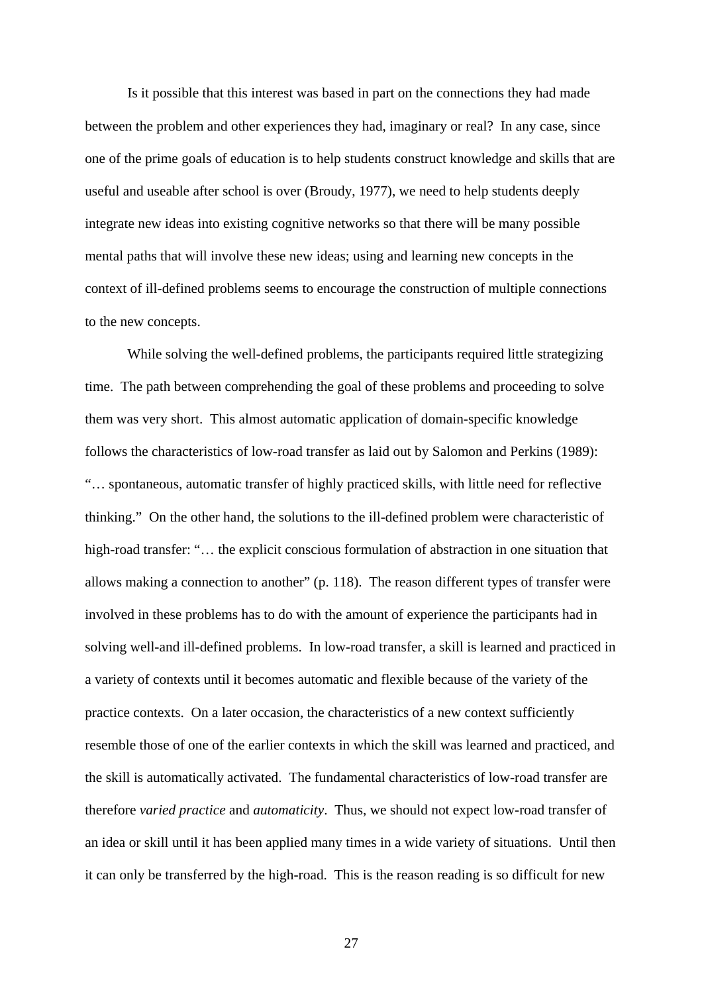Is it possible that this interest was based in part on the connections they had made between the problem and other experiences they had, imaginary or real? In any case, since one of the prime goals of education is to help students construct knowledge and skills that are useful and useable after school is over (Broudy, 1977), we need to help students deeply integrate new ideas into existing cognitive networks so that there will be many possible mental paths that will involve these new ideas; using and learning new concepts in the context of ill-defined problems seems to encourage the construction of multiple connections to the new concepts.

While solving the well-defined problems, the participants required little strategizing time. The path between comprehending the goal of these problems and proceeding to solve them was very short. This almost automatic application of domain-specific knowledge follows the characteristics of low-road transfer as laid out by Salomon and Perkins (1989): "… spontaneous, automatic transfer of highly practiced skills, with little need for reflective thinking." On the other hand, the solutions to the ill-defined problem were characteristic of high-road transfer: "... the explicit conscious formulation of abstraction in one situation that allows making a connection to another" (p. 118). The reason different types of transfer were involved in these problems has to do with the amount of experience the participants had in solving well-and ill-defined problems. In low-road transfer, a skill is learned and practiced in a variety of contexts until it becomes automatic and flexible because of the variety of the practice contexts. On a later occasion, the characteristics of a new context sufficiently resemble those of one of the earlier contexts in which the skill was learned and practiced, and the skill is automatically activated. The fundamental characteristics of low-road transfer are therefore *varied practice* and *automaticity*. Thus, we should not expect low-road transfer of an idea or skill until it has been applied many times in a wide variety of situations. Until then it can only be transferred by the high-road. This is the reason reading is so difficult for new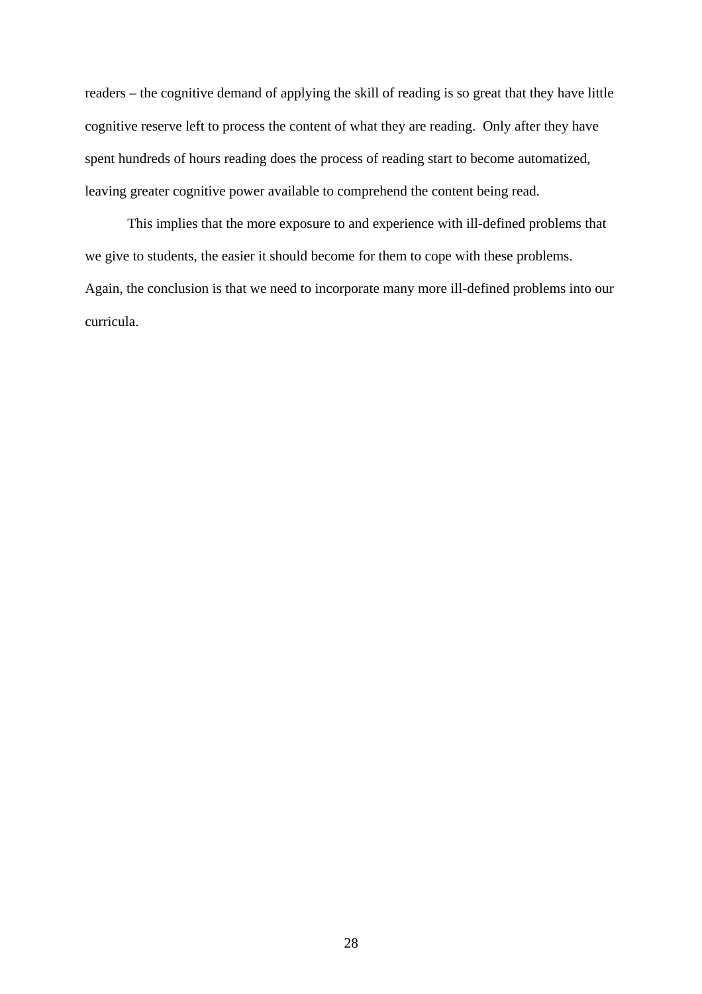readers – the cognitive demand of applying the skill of reading is so great that they have little cognitive reserve left to process the content of what they are reading. Only after they have spent hundreds of hours reading does the process of reading start to become automatized, leaving greater cognitive power available to comprehend the content being read.

This implies that the more exposure to and experience with ill-defined problems that we give to students, the easier it should become for them to cope with these problems. Again, the conclusion is that we need to incorporate many more ill-defined problems into our curricula.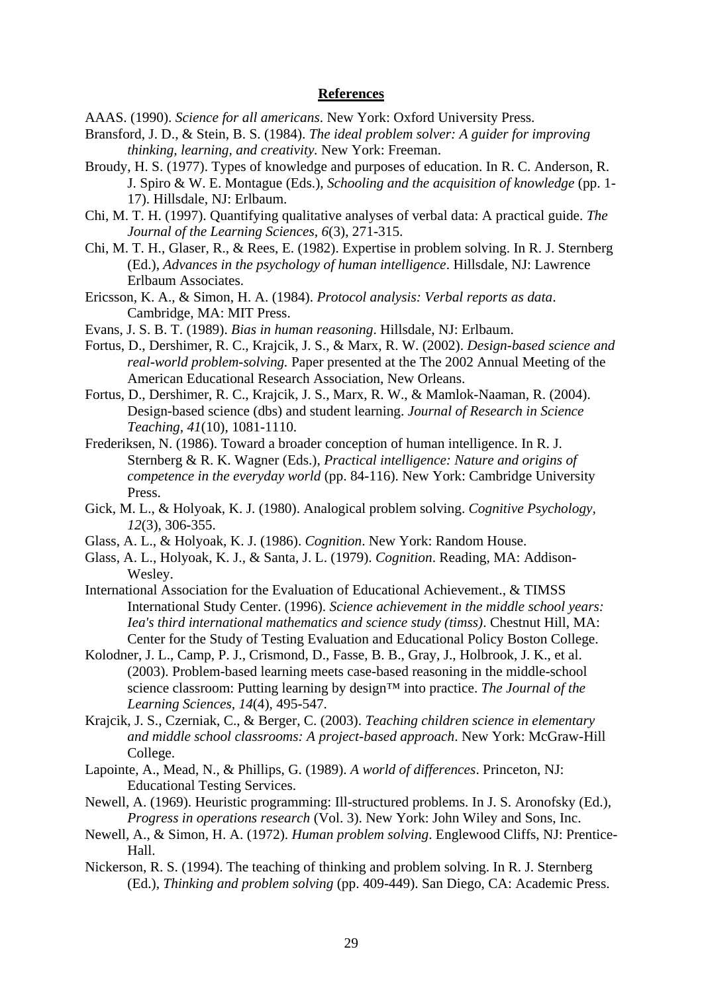### **References**

- AAAS. (1990). *Science for all americans*. New York: Oxford University Press.
- Bransford, J. D., & Stein, B. S. (1984). *The ideal problem solver: A guider for improving thinking, learning, and creativity.* New York: Freeman.
- Broudy, H. S. (1977). Types of knowledge and purposes of education. In R. C. Anderson, R. J. Spiro & W. E. Montague (Eds.), *Schooling and the acquisition of knowledge* (pp. 1- 17). Hillsdale, NJ: Erlbaum.
- Chi, M. T. H. (1997). Quantifying qualitative analyses of verbal data: A practical guide. *The Journal of the Learning Sciences, 6*(3), 271-315.
- Chi, M. T. H., Glaser, R., & Rees, E. (1982). Expertise in problem solving. In R. J. Sternberg (Ed.), *Advances in the psychology of human intelligence*. Hillsdale, NJ: Lawrence Erlbaum Associates.
- Ericsson, K. A., & Simon, H. A. (1984). *Protocol analysis: Verbal reports as data*. Cambridge, MA: MIT Press.
- Evans, J. S. B. T. (1989). *Bias in human reasoning*. Hillsdale, NJ: Erlbaum.
- Fortus, D., Dershimer, R. C., Krajcik, J. S., & Marx, R. W. (2002). *Design-based science and real-world problem-solving.* Paper presented at the The 2002 Annual Meeting of the American Educational Research Association, New Orleans.
- Fortus, D., Dershimer, R. C., Krajcik, J. S., Marx, R. W., & Mamlok-Naaman, R. (2004). Design-based science (dbs) and student learning. *Journal of Research in Science Teaching, 41*(10), 1081-1110.
- Frederiksen, N. (1986). Toward a broader conception of human intelligence. In R. J. Sternberg & R. K. Wagner (Eds.), *Practical intelligence: Nature and origins of competence in the everyday world* (pp. 84-116). New York: Cambridge University Press.
- Gick, M. L., & Holyoak, K. J. (1980). Analogical problem solving. *Cognitive Psychology, 12*(3), 306-355.
- Glass, A. L., & Holyoak, K. J. (1986). *Cognition*. New York: Random House.
- Glass, A. L., Holyoak, K. J., & Santa, J. L. (1979). *Cognition*. Reading, MA: Addison-Wesley.
- International Association for the Evaluation of Educational Achievement., & TIMSS International Study Center. (1996). *Science achievement in the middle school years: Iea's third international mathematics and science study (timss)*. Chestnut Hill, MA: Center for the Study of Testing Evaluation and Educational Policy Boston College.
- Kolodner, J. L., Camp, P. J., Crismond, D., Fasse, B. B., Gray, J., Holbrook, J. K., et al. (2003). Problem-based learning meets case-based reasoning in the middle-school science classroom: Putting learning by design™ into practice. *The Journal of the Learning Sciences, 14*(4), 495-547.
- Krajcik, J. S., Czerniak, C., & Berger, C. (2003). *Teaching children science in elementary and middle school classrooms: A project-based approach*. New York: McGraw-Hill College.
- Lapointe, A., Mead, N., & Phillips, G. (1989). *A world of differences*. Princeton, NJ: Educational Testing Services.
- Newell, A. (1969). Heuristic programming: Ill-structured problems. In J. S. Aronofsky (Ed.), *Progress in operations research* (Vol. 3). New York: John Wiley and Sons, Inc.
- Newell, A., & Simon, H. A. (1972). *Human problem solving*. Englewood Cliffs, NJ: Prentice-Hall.
- Nickerson, R. S. (1994). The teaching of thinking and problem solving. In R. J. Sternberg (Ed.), *Thinking and problem solving* (pp. 409-449). San Diego, CA: Academic Press.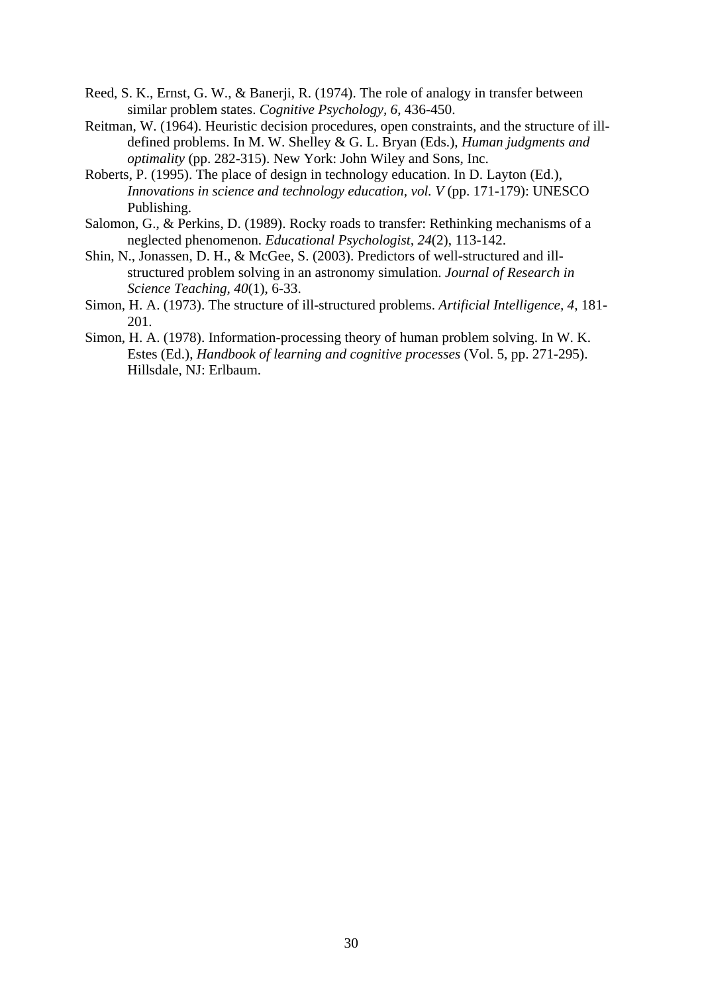- Reed, S. K., Ernst, G. W., & Banerji, R. (1974). The role of analogy in transfer between similar problem states. *Cognitive Psychology, 6*, 436-450.
- Reitman, W. (1964). Heuristic decision procedures, open constraints, and the structure of illdefined problems. In M. W. Shelley & G. L. Bryan (Eds.), *Human judgments and optimality* (pp. 282-315). New York: John Wiley and Sons, Inc.
- Roberts, P. (1995). The place of design in technology education. In D. Layton (Ed.), *Innovations in science and technology education, vol. V* (pp. 171-179): UNESCO Publishing.
- Salomon, G., & Perkins, D. (1989). Rocky roads to transfer: Rethinking mechanisms of a neglected phenomenon. *Educational Psychologist, 24*(2), 113-142.
- Shin, N., Jonassen, D. H., & McGee, S. (2003). Predictors of well-structured and illstructured problem solving in an astronomy simulation. *Journal of Research in Science Teaching, 40*(1), 6-33.
- Simon, H. A. (1973). The structure of ill-structured problems. *Artificial Intelligence, 4*, 181- 201.
- Simon, H. A. (1978). Information-processing theory of human problem solving. In W. K. Estes (Ed.), *Handbook of learning and cognitive processes* (Vol. 5, pp. 271-295). Hillsdale, NJ: Erlbaum.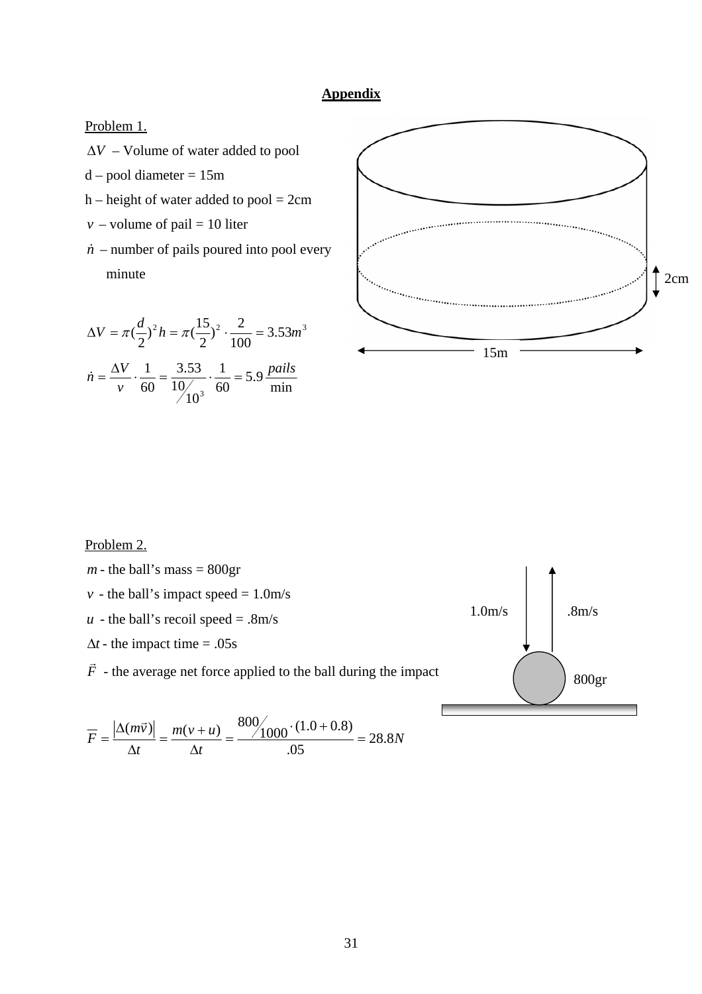## **Appendix**

Problem 1.

- ∆*V* Volume of water added to pool
- $d$  pool diameter = 15m
- $h$  height of water added to pool = 2cm
- *v* volume of pail = 10 liter
- $\dot{n}$  number of pails poured into pool every

$$
\Delta V = \pi \left(\frac{d}{2}\right)^2 h = \pi \left(\frac{15}{2}\right)^2 \cdot \frac{2}{100} = 3.53 m^3
$$

$$
\dot{n} = \frac{\Delta V}{v} \cdot \frac{1}{60} = \frac{3.53}{10/10^3} \cdot \frac{1}{60} = 5.9 \frac{pails}{min}
$$



### Problem 2.

 $m$  - the ball's mass = 800gr  $v -$  the ball's impact speed =  $1.0m/s$  *- the ball's recoil speed = .8m/s*  $\Delta t$  - the impact time = .05s  $\vec{F}$  - the average net force applied to the ball during the impact  $\begin{pmatrix} 0 & 0 \end{pmatrix}$  800gr  $1.0m/s$  .  $8m/s$ 

$$
\overline{F} = \frac{|\Delta(m\vec{v})|}{\Delta t} = \frac{m(v+u)}{\Delta t} = \frac{800/1000 \cdot (1.0 + 0.8)}{.05} = 28.8N
$$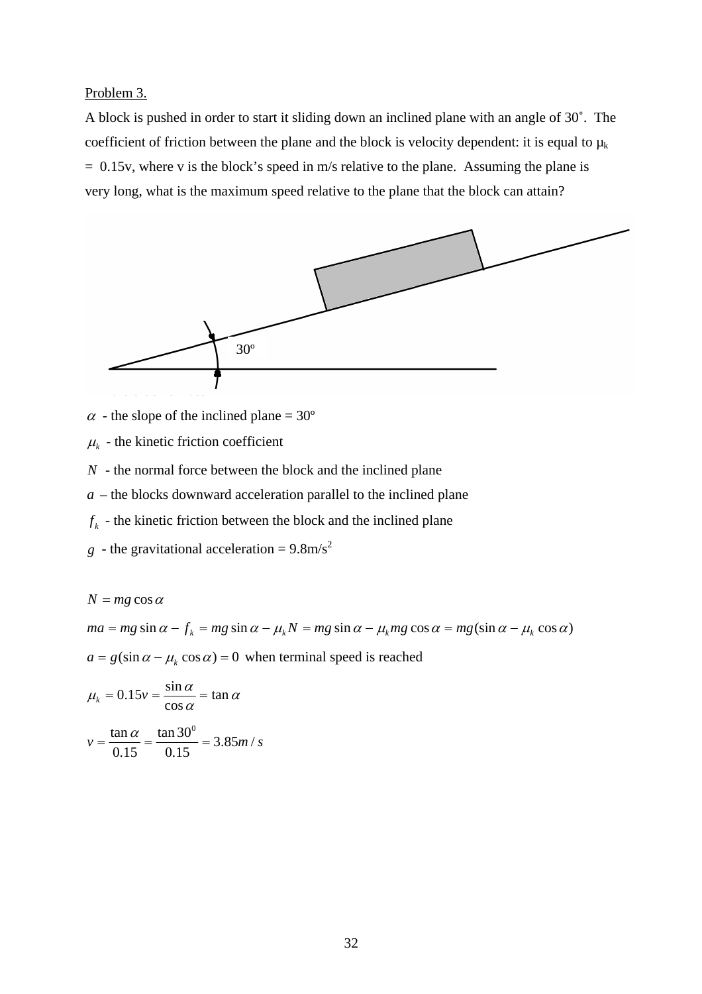Problem 3.

A block is pushed in order to start it sliding down an inclined plane with an angle of 30˚. The coefficient of friction between the plane and the block is velocity dependent: it is equal to  $\mu_k$ = 0.15v, where v is the block's speed in m/s relative to the plane. Assuming the plane is very long, what is the maximum speed relative to the plane that the block can attain?



 $\alpha$  - the slope of the inclined plane = 30°

 $\mu_k$  - the kinetic friction coefficient

*N* - the normal force between the block and the inclined plane

 $a$  – the blocks downward acceleration parallel to the inclined plane

 $f_k$  - the kinetic friction between the block and the inclined plane

*g* - the gravitational acceleration =  $9.8 \text{m/s}^2$ 

$$
N = mg \cos \alpha
$$
  
ma = mg \sin \alpha - f<sub>k</sub> = mg \sin \alpha - \mu<sub>k</sub> N = mg \sin \alpha - \mu<sub>k</sub> mg \cos \alpha = mg(\sin \alpha - \mu<sub>k</sub> \cos \alpha)  
a = g(\sin \alpha - \mu<sub>k</sub> \cos \alpha) = 0 when terminal speed is reached  

$$
\muk = 0.15v = \frac{\sin \alpha}{\cos \alpha} = \tan \alpha
$$

$$
v = \frac{\tan \alpha}{0.15} = \frac{\tan 30^{\circ}}{0.15} = 3.85 m / s
$$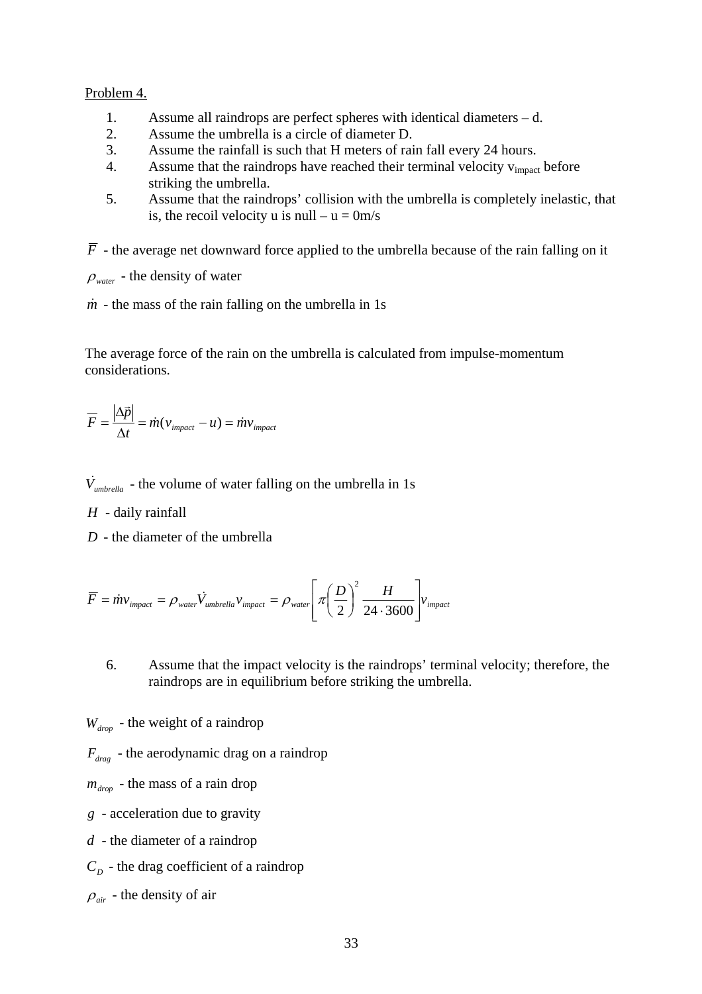### Problem 4.

- 1. Assume all raindrops are perfect spheres with identical diameters d.
- 2. Assume the umbrella is a circle of diameter D.
- 3. Assume the rainfall is such that H meters of rain fall every 24 hours.
- 4. Assume that the raindrops have reached their terminal velocity v<sub>impact</sub> before striking the umbrella.
- 5. Assume that the raindrops' collision with the umbrella is completely inelastic, that is, the recoil velocity u is null –  $u = 0m/s$

 $\overline{F}$  - the average net downward force applied to the umbrella because of the rain falling on it

- $\rho_{\text{water}}$  the density of water
- $\dot{m}$  the mass of the rain falling on the umbrella in 1s

The average force of the rain on the umbrella is calculated from impulse-momentum considerations.

$$
\overline{F} = \frac{|\Delta \vec{p}|}{\Delta t} = \dot{m}(v_{\text{impact}} - u) = \dot{m}v_{\text{impact}}
$$

 $\dot{V}_{\textit{umbrella}}$  - the volume of water falling on the umbrella in 1s

*H* - daily rainfall

*D* - the diameter of the umbrella

$$
\overline{F} = \dot{m}v_{\text{impact}} = \rho_{\text{water}} \dot{V}_{\text{umbrella}} v_{\text{impact}} = \rho_{\text{water}} \left[ \pi \left( \frac{D}{2} \right)^2 \frac{H}{24 \cdot 3600} \right] v_{\text{impact}}
$$

6. Assume that the impact velocity is the raindrops' terminal velocity; therefore, the raindrops are in equilibrium before striking the umbrella.

 $W_{\text{drop}}$  - the weight of a raindrop

 $F_{drag}$  - the aerodynamic drag on a raindrop

 $m_{drop}$  - the mass of a rain drop

*g* - acceleration due to gravity

*d* - the diameter of a raindrop

 $C_p$  - the drag coefficient of a raindrop

 $\rho_{\text{air}}$  - the density of air